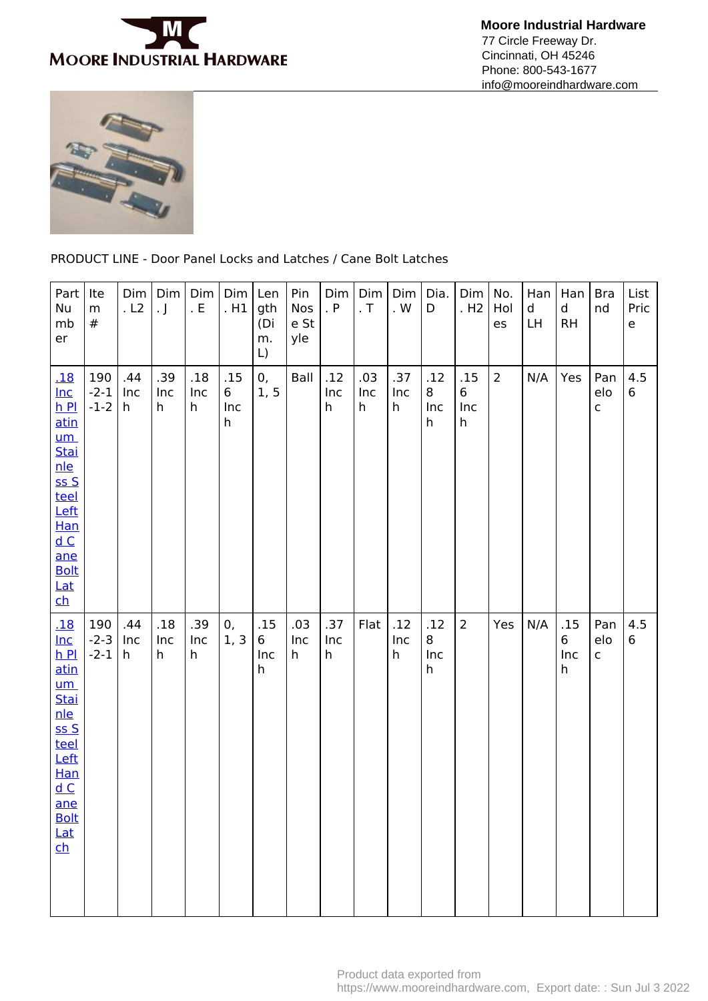

 **Moore Industrial Hardware** 77 Circle Freeway Dr. Cincinnati, OH 45246 Phone: 800-543-1677 info@mooreindhardware.com



PRODUCT LINE - Door Panel Locks and Latches / Cane Bolt Latches

| Part<br>Nu<br>mb<br>er                                                                                                                                                                    | Ite<br>${\sf m}$<br>#   | Dim<br>. L2     | Dim<br>$\cdot$ J | Dim<br>. $E$    | Dim<br>. H1          | Len<br>gth<br>(Di<br>m.<br>$\lfloor$ | Pin<br>Nos<br>e St<br>yle | Dim<br>. P      | Dim<br>$\cdot$ T | Dim<br>. $\mathsf{W}$ | Dia.<br>D            | Dim<br>.H2           | No.<br>Hol<br>es | Han<br>d<br>LH | Han<br>d<br><b>RH</b> | <b>Bra</b><br>nd           | List<br>Pric<br>$\mathsf{e}% _{t}\left( t\right)$ |
|-------------------------------------------------------------------------------------------------------------------------------------------------------------------------------------------|-------------------------|-----------------|------------------|-----------------|----------------------|--------------------------------------|---------------------------|-----------------|------------------|-----------------------|----------------------|----------------------|------------------|----------------|-----------------------|----------------------------|---------------------------------------------------|
| <u>.18</u><br>$Inc$<br>$h$ $Pl$<br><u>atin</u><br>$um$<br><b>Stai</b><br><u>nle</u><br>ssS<br>teel<br>Left<br><b>Han</b><br>dC<br>ane<br><b>Bolt</b><br>$Lat$<br>$\overline{\mathsf{ch}}$ | 190<br>$-2-1$<br>$-1-2$ | .44<br>Inc<br>h | .39<br>Inc<br>h  | .18<br>Inc<br>h | .15<br>6<br>Inc<br>h | 0,<br>1, 5                           | Ball                      | .12<br>Inc<br>h | .03<br>Inc<br>h  | .37<br>Inc<br>h       | .12<br>8<br>Inc<br>h | .15<br>6<br>Inc<br>h | $\overline{2}$   | N/A            | Yes                   | Pan<br>elo<br>$\mathsf{C}$ | 4.5<br>6                                          |
| <u>.18</u><br>$Inc$<br>$h$ Pl<br>atin<br>$um$<br>Stai<br><u>nle</u><br>SSS<br>teel<br>Left<br><b>Han</b><br>dC<br>ane<br><b>Bolt</b><br>Lat<br>$\overline{\text{ch}}$                     | 190<br>$-2-3$<br>$-2-1$ | .44<br>Inc<br>h | .18<br>Inc<br>h  | .39<br>Inc<br>h | 0,<br>1, 3           | .15<br>6<br>Inc<br>h                 | .03<br>Inc<br>h           | .37<br>Inc<br>h | Flat             | .12<br>Inc<br>h       | .12<br>8<br>Inc<br>h | $\overline{2}$       | Yes              | N/A            | .15<br>6<br>Inc<br>h  | Pan<br>elo<br>$\mathsf{C}$ | 4.5<br>$6\phantom{.}$                             |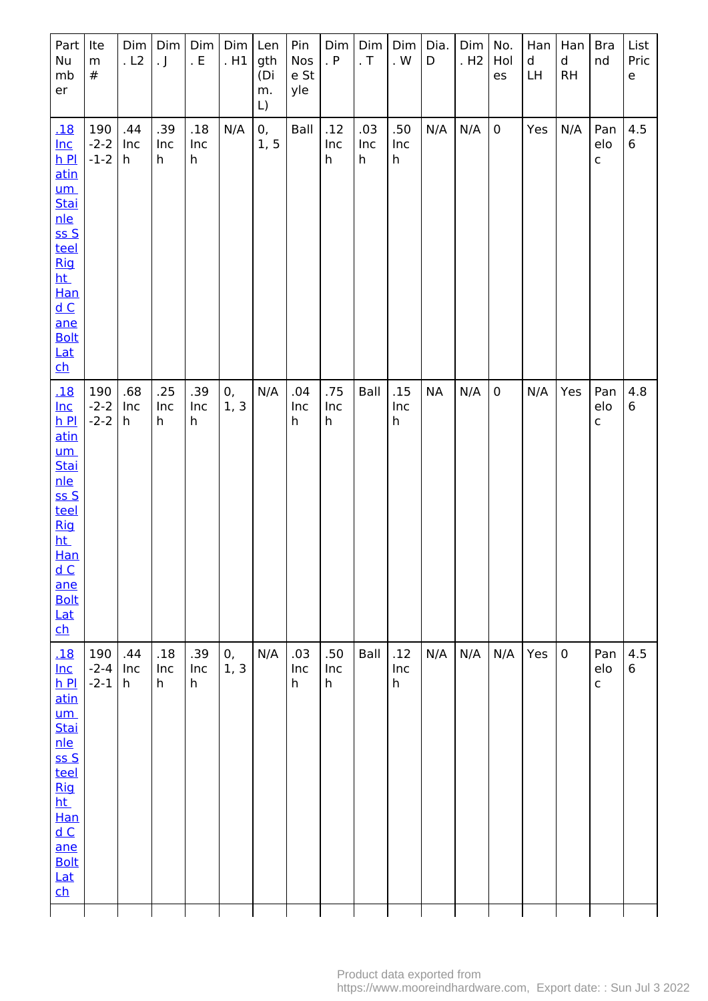| Part<br>Nu<br>mb<br>er                                                                                                                                                                   | Ite<br>${\sf m}$<br>$\#$ | Dim<br>. L2     | Dim<br>$\cdot$ J | Dim <sub> </sub><br>. $\mathsf{E}% _{\mathsf{H}}$ | Dim<br>.H1 | Len<br>gth<br>(Di<br>m.<br>L) | Pin<br>Nos<br>e St<br>yle | Dim<br>. P      | Dim<br>$\cdot$ T | <b>Dim</b><br>. $\mathsf{W}$ | Dia.<br>D | Dim   No.<br>.H2 | Hol<br>es   | Han<br>d<br>LH | Han<br>$\mathsf{d}$<br><b>RH</b> | <b>Bra</b><br>nd           | List<br>Pric<br>$\mathsf{e}% _{t}\left( t\right)$ |
|------------------------------------------------------------------------------------------------------------------------------------------------------------------------------------------|--------------------------|-----------------|------------------|---------------------------------------------------|------------|-------------------------------|---------------------------|-----------------|------------------|------------------------------|-----------|------------------|-------------|----------------|----------------------------------|----------------------------|---------------------------------------------------|
| <u>.18</u><br>$Inc$<br>$h$ Pl<br><u>atin</u><br><u>um</u><br>Stai<br>nle<br>SSS<br>teel<br><b>Rig</b><br>ht_<br>Han<br>dC<br>ane<br><b>Bolt</b><br>Lat<br>$\mathbf{ch}$                  | 190<br>$-2-2$<br>$-1-2$  | .44<br>Inc<br>h | .39<br>Inc<br>h  | .18<br>Inc<br>h                                   | N/A        | 0,<br>1, 5                    | Ball                      | .12<br>Inc<br>h | .03<br>Inc<br>h  | .50<br>Inc<br>h              | N/A       | N/A              | $\mathbf 0$ | Yes            | N/A                              | Pan<br>elo<br>$\mathsf{C}$ | 4.5<br>6                                          |
| <u>.18</u><br>$Inc$<br>$h$ Pl<br>atin<br>$um$<br><b>Stai</b><br>nle<br>$S S$<br>teel<br><b>Rig</b><br><u>ht</u><br><b>Han</b><br>dC<br>ane<br><b>Bolt</b><br><b>Lat</b><br>$\mathsf{ch}$ | 190<br>$-2-2$<br>$-2-2$  | .68<br>Inc<br>h | .25<br>Inc<br>h  | .39<br>Inc<br>h                                   | 0,<br>1, 3 | N/A                           | .04<br>Inc<br>h           | .75<br>Inc<br>h | Ball             | .15<br>Inc<br>h              | <b>NA</b> | N/A              | $\pmb{0}$   | N/A            | Yes                              | Pan<br>elo<br>$\mathsf{C}$ | 4.8<br>6                                          |
| .18<br>$Inc$<br>$h$ Pl<br>atin<br>$um$<br>Stai<br>nle<br>ss S<br>teel<br>Rig<br>ht.<br>Han<br>dC<br>ane<br><b>Bolt</b><br>Lat<br>$\mathbf{ch}$                                           | 190<br>$-2-4$<br>$-2-1$  | .44<br>Inc<br>h | .18<br>Inc<br>h  | .39<br>Inc<br>h                                   | 0,<br>1, 3 | N/A                           | .03<br>Inc<br>h           | .50<br>Inc<br>h | Ball             | .12<br>Inc<br>$\mathsf h$    | N/A       | N/A              | N/A         | Yes            | $\mathbf 0$                      | Pan<br>elo<br>$\mathsf{C}$ | 4.5<br>6                                          |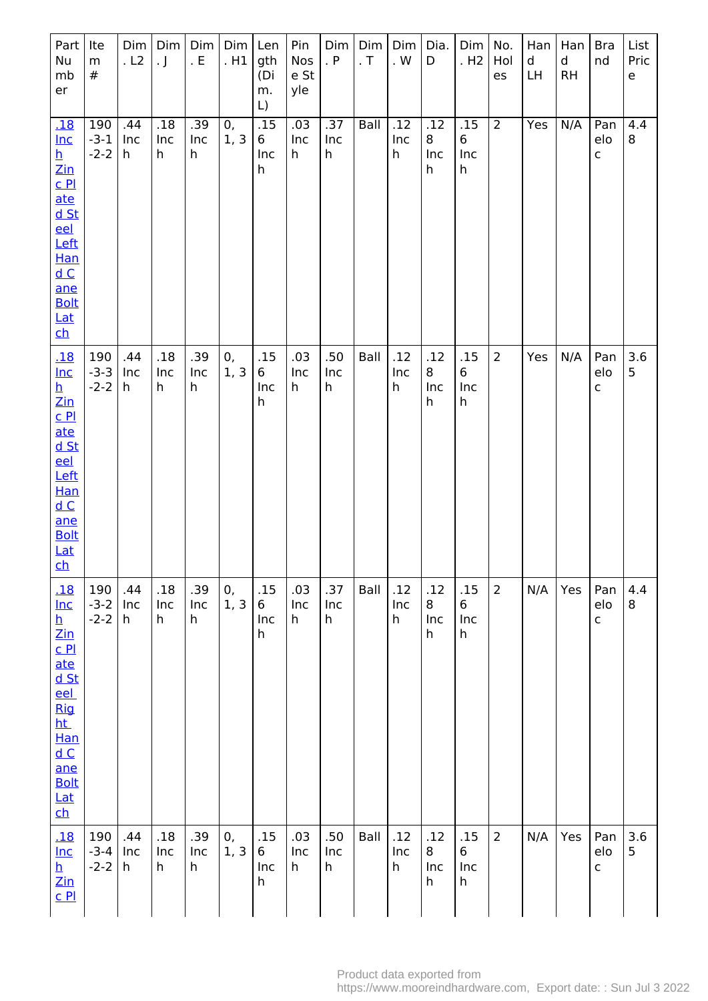| Part<br>Nu<br>mb<br>er                                                                                                                                                                   | Ite<br>m<br>#           | Dim<br>.L2      | Dim<br>$\cdot$ J | Dim<br>. $E$    | Dim<br>.H1 | Len<br>gth<br>(Di<br>m.<br>L) | Pin<br>Nos<br>e St<br>yle | Dim<br>. $P$    | Dim<br>. $\mathsf T$ | Dim<br>. $\mathsf{W}$ | Dia.<br>D            | Dim<br>. H <sub>2</sub>           | No.<br>Hol<br>es | Han<br>d<br>LH | Han<br>$\mathsf d$<br><b>RH</b> | <b>Bra</b><br>nd           | List<br>Pric<br>$\mathsf{e}% _{0}\left( \mathsf{e}\right)$ |
|------------------------------------------------------------------------------------------------------------------------------------------------------------------------------------------|-------------------------|-----------------|------------------|-----------------|------------|-------------------------------|---------------------------|-----------------|----------------------|-----------------------|----------------------|-----------------------------------|------------------|----------------|---------------------------------|----------------------------|------------------------------------------------------------|
| 18<br>$lnc$<br>$\frac{h}{\text{Zin}}$<br>$C$ $P1$<br>ate<br>d St<br>eel<br>Left<br>Han<br>dC<br>ane<br><b>Bolt</b><br>$Lat$<br>$\mathbf{ch}$                                             | 190<br>$-3-1$<br>$-2-2$ | .44<br>Inc<br>h | .18<br>Inc<br>h  | .39<br>Inc<br>h | 0,<br>1, 3 | .15<br>6<br>Inc<br>h          | .03<br>Inc<br>h           | .37<br>Inc<br>h | Ball                 | .12<br>Inc<br>h       | .12<br>8<br>Inc<br>h | .15<br>6<br>Inc<br>h              | $\overline{2}$   | Yes            | N/A                             | Pan<br>elo<br>$\mathsf C$  | 4.4<br>8                                                   |
| <u>.18</u><br>$Inc$<br>$\overline{\mathbf{h}}$<br>$\frac{Zin}{Z}$<br>CL<br>ate<br>d St<br>eel<br>Left<br>Han<br>dC<br>ane<br><b>Bolt</b><br><b>Lat</b><br><u>ch</u>                      | 190<br>$-3-3$<br>$-2-2$ | .44<br>Inc<br>h | .18<br>Inc<br>h  | .39<br>Inc<br>h | 0,<br>1, 3 | .15<br>6<br>Inc<br>h          | .03<br>Inc<br>h           | .50<br>Inc<br>h | Ball                 | .12<br>Inc<br>h       | .12<br>8<br>Inc<br>h | .15<br>6<br>Inc<br>h              | $\overline{2}$   | Yes            | N/A                             | Pan<br>elo<br>$\mathsf{C}$ | 3.6<br>5                                                   |
| <u>.18</u><br>$Inc$<br><u>h</u><br><u>Zin</u><br>C <sub>Pl</sub><br>ate<br><u>d St</u><br>eel<br><b>Rig</b><br>ht_<br>Han<br>dC<br>ane<br><b>Bolt</b><br>Lat<br>$\overline{\mathsf{ch}}$ | 190<br>$-3-2$<br>$-2-2$ | .44<br>Inc<br>h | .18<br>Inc<br>h  | .39<br>Inc<br>h | 0,<br>1, 3 | .15<br>6<br>Inc<br>h          | .03<br>Inc<br>h           | .37<br>Inc<br>h | Ball                 | .12<br>Inc<br>h       | .12<br>8<br>Inc<br>h | .15<br>6<br>Inc<br>h              | $\overline{2}$   | N/A            | Yes                             | Pan<br>elo<br>$\mathsf{C}$ | 4.4<br>8                                                   |
| <u>.18</u><br>$Inc$<br>$\overline{\mathbf{h}}$<br>$\mathsf{Zin}% \left( \mathsf{Z}\right) \equiv\mathsf{Zin}% \left( \mathsf{Z}\right)$<br>C <sub>Pl</sub>                               | 190<br>$-3-4$<br>$-2-2$ | .44<br>Inc<br>h | .18<br>Inc<br>h  | .39<br>Inc<br>h | 0,<br>1, 3 | .15<br>6<br>Inc<br>h          | .03<br>Inc<br>h           | .50<br>Inc<br>h | Ball                 | .12<br>Inc<br>h       | .12<br>8<br>Inc<br>h | .15<br>$6\phantom{1}$<br>Inc<br>h | $\overline{2}$   | N/A            | Yes                             | Pan<br>elo<br>$\mathsf C$  | 3.6<br>5                                                   |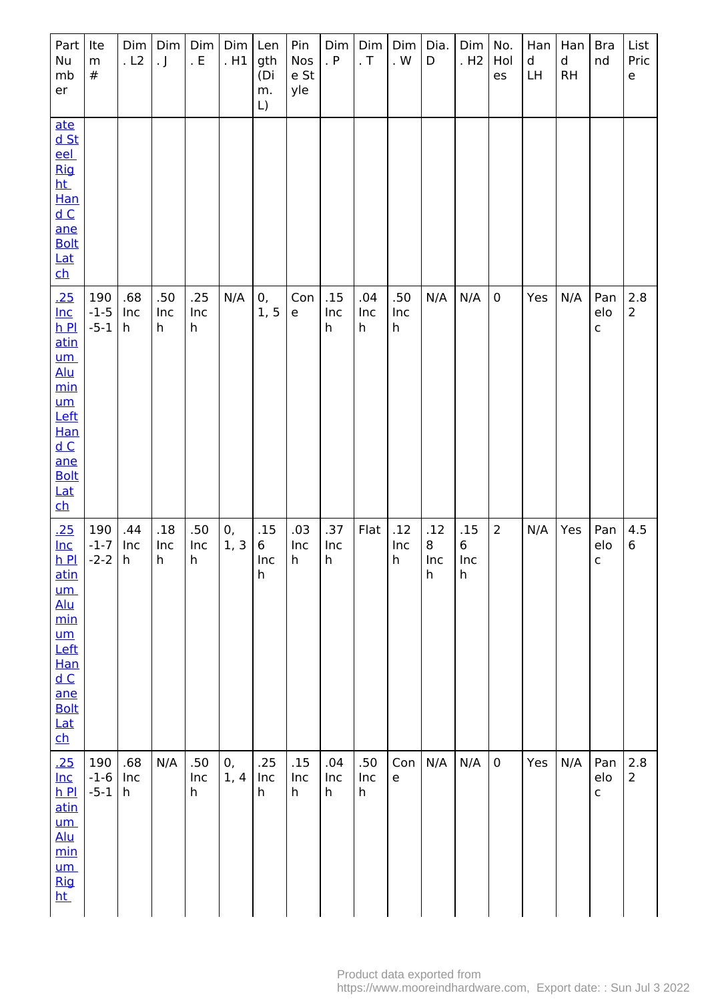| Part<br>Nu<br>mb<br>er                                                                                                                             | Ite<br>${\sf m}$<br>$\#$ | Dim<br>. L2     | Dim<br>. $\rfloor$  | Dim <sub> </sub><br>. $\mathsf{E}% _{\mathsf{H}}$ | $Dim$ Len<br>. H1 | gth<br>(Di<br>m.<br>$\mathsf{L}$ | Pin<br>Nos<br>e St<br>yle | Dim<br>. P      | Dim<br>. $\mathsf T$ | Dim<br>. $\mathsf{W}$                    | Dia.<br>D            | Dim<br>. H <sub>2</sub>    | No.<br>Hol<br>es | Han<br>$\sf d$<br><b>LH</b> | Han<br>d<br>RH | <b>Bra</b><br>nd           | List<br>Pric<br>e       |
|----------------------------------------------------------------------------------------------------------------------------------------------------|--------------------------|-----------------|---------------------|---------------------------------------------------|-------------------|----------------------------------|---------------------------|-----------------|----------------------|------------------------------------------|----------------------|----------------------------|------------------|-----------------------------|----------------|----------------------------|-------------------------|
| ate<br>$d$ St<br>eel<br><b>Rig</b><br>ht.<br>Han<br>dC<br>ane<br><b>Bolt</b><br>Lat<br>$\overline{\mathsf{ch}}$                                    |                          |                 |                     |                                                   |                   |                                  |                           |                 |                      |                                          |                      |                            |                  |                             |                |                            |                         |
| <u>.25</u><br>$Inc$<br>$h$ Pl<br>atin<br><u>um</u><br><b>Alu</b><br>min<br>$um$<br>Left<br>Han<br>dC<br>ane<br><b>Bolt</b><br>Lat<br>$\mathsf{ch}$ | 190<br>$-1-5$<br>$-5-1$  | .68<br>Inc<br>h | .50<br>Inc<br>h     | .25<br>Inc<br>h                                   | N/A               | 0,<br>1, 5                       | Con<br>$\mathsf{e}\,$     | .15<br>Inc<br>h | .04<br>Inc<br>h      | .50<br>Inc<br>h                          | N/A                  | N/A                        | $\bf 0$          | Yes                         | N/A            | Pan<br>elo<br>$\mathsf{C}$ | $2.8$<br>$\overline{2}$ |
| .25<br>$Inc$<br>$h$ Pl<br>atin<br><u>um</u><br><u>Alu</u><br>min<br>$um$<br>Left<br>Han<br>dC<br>ane<br><b>Bolt</b><br>Lat<br>$\mathbf{c}$         | 190<br>$-1-7$<br>$-2-2$  | .44<br>Inc<br>h | $.18\,$<br>Inc<br>h | .50<br>Inc<br>h                                   | 0,<br>1, 3        | .15<br>6<br>Inc<br>h             | .03<br>Inc<br>h           | .37<br>Inc<br>h | Flat                 | .12<br>Inc<br>h                          | .12<br>8<br>Inc<br>h | .15<br>$\,6\,$<br>Inc<br>h | $\overline{2}$   | N/A                         | Yes            | Pan<br>elo<br>$\mathsf{C}$ | 4.5<br>6                |
| .25<br>$Inc$<br>$h$ $Pl$<br>atin<br>$um$<br>Alu<br>min<br>$um$<br><b>Rig</b><br><u>ht</u>                                                          | 190<br>$-1-6$<br>$-5-1$  | .68<br>Inc<br>h | N/A                 | .50<br>Inc<br>h                                   | 0,<br>1, 4        | .25<br>Inc<br>h                  | .15<br>Inc<br>h           | .04<br>Inc<br>h | .50<br>Inc<br>h      | Con<br>$\mathsf{e}% _{t}\left( t\right)$ | N/A                  | N/A                        | $\mathbf 0$      | Yes                         | N/A            | Pan<br>elo<br>$\mathsf{C}$ | 2.8<br>$\overline{2}$   |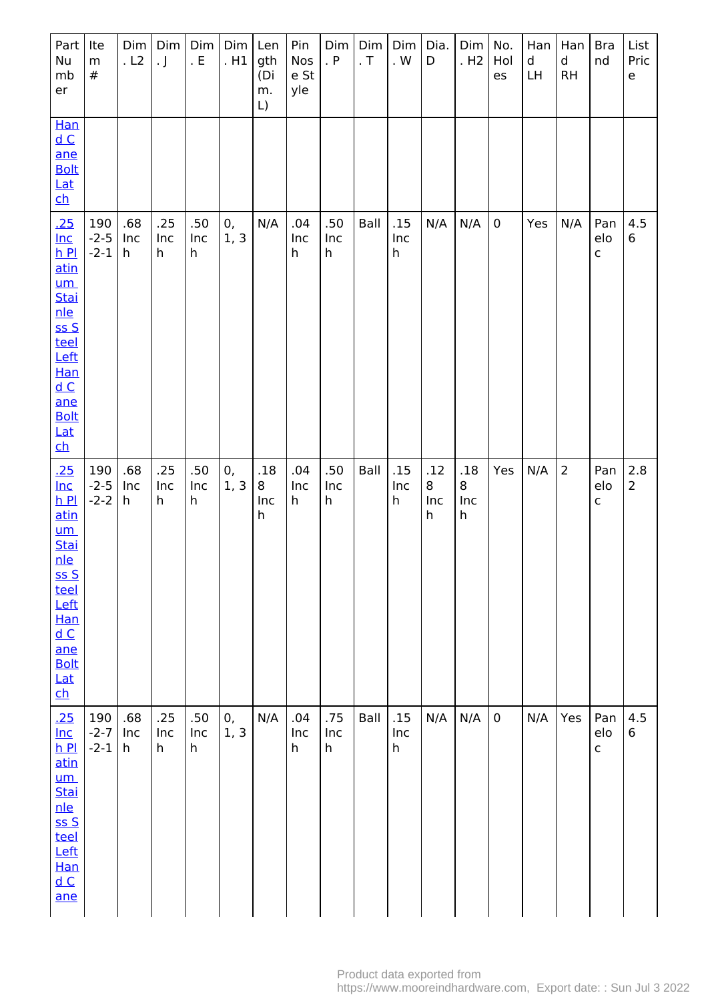| Part  <br>Nu<br>mb<br>er                                                                                                                                                                                         | Ite<br>m<br>$\#$        | Dim<br>. L2     | Dim<br>$\cdot$ J | Dim<br>. $E$    | $Dim$ Len<br>.H1 | gth<br>(Di<br>m.<br>L) | Pin<br>Nos<br>e St<br>yle | Dim<br>. P      | Dim<br>. $\mathsf T$ | Dim<br>. $\ensuremath{\mathsf{W}}$ | Dia.<br>D            | Dim<br>. H <sub>2</sub>        | No.<br>Hol<br>es | Han<br>$\mathsf{d}$<br>LH | Han<br>d<br>RH | <b>Bra</b><br>nd           | List<br>Pric<br>e     |
|------------------------------------------------------------------------------------------------------------------------------------------------------------------------------------------------------------------|-------------------------|-----------------|------------------|-----------------|------------------|------------------------|---------------------------|-----------------|----------------------|------------------------------------|----------------------|--------------------------------|------------------|---------------------------|----------------|----------------------------|-----------------------|
| Han<br>dC<br>ane<br><b>Bolt</b><br><u>Lat</u><br>$\overline{\mathsf{ch}}$                                                                                                                                        |                         |                 |                  |                 |                  |                        |                           |                 |                      |                                    |                      |                                |                  |                           |                |                            |                       |
| .25<br>$Inc$<br>$h$ $Pl$<br>atin<br>$um$<br><u>Stai</u><br><u>nle</u><br>$S S$<br>teel<br>Left<br><b>Han</b><br>$\underline{\mathsf{d}\, \mathsf{C}}$<br>ane<br><b>Bolt</b><br>$Lat$<br>$\overline{\mathsf{ch}}$ | 190<br>$-2-5$<br>$-2-1$ | .68<br>Inc<br>h | .25<br>Inc<br>h  | .50<br>Inc<br>h | 0,<br>1, 3       | N/A                    | .04<br>Inc<br>h           | .50<br>Inc<br>h | Ball                 | .15<br>Inc<br>h                    | N/A                  | N/A                            | $\pmb{0}$        | Yes                       | N/A            | Pan<br>elo<br>$\mathsf{C}$ | 4.5<br>6              |
| .25<br>$Inc$<br>$h$ Pl<br>atin<br><u>um</u><br><b>Stai</b><br><u>nle</u><br>SSS<br>teel<br>Left<br><b>Han</b><br>dC<br>ane<br><b>Bolt</b><br><u>Lat</u><br>$\overline{\mathsf{ch}}$                              | 190<br>$-2-5$<br>$-2-2$ | .68<br>Inc<br>h | .25<br>Inc<br>h  | .50<br>Inc<br>h | 0,<br>1, 3       | .18<br>8<br>Inc<br>h   | .04<br>Inc<br>h           | .50<br>Inc<br>h | Ball                 | .15<br>Inc<br>h                    | .12<br>8<br>Inc<br>h | .18<br>8<br>Inc<br>$\mathsf h$ | Yes              | N/A                       | $\overline{2}$ | Pan<br>elo<br>$\mathsf{C}$ | 2.8<br>$\overline{2}$ |
| .25<br>$Inc$<br>$h$ $Pl$<br>atin<br>$um$<br>Stai<br><u>nle</u><br>ssS<br>teel<br>Left<br>Han<br>dC<br>ane                                                                                                        | 190<br>$-2-7$<br>$-2-1$ | .68<br>Inc<br>h | .25<br>Inc<br>h  | .50<br>Inc<br>h | 0,<br>1, 3       | N/A                    | .04<br>Inc<br>h           | .75<br>Inc<br>h | Ball                 | .15<br>Inc<br>h                    | N/A                  | N/A                            | $\mathbf 0$      | N/A                       | Yes            | Pan<br>elo<br>$\mathsf{C}$ | 4.5<br>6              |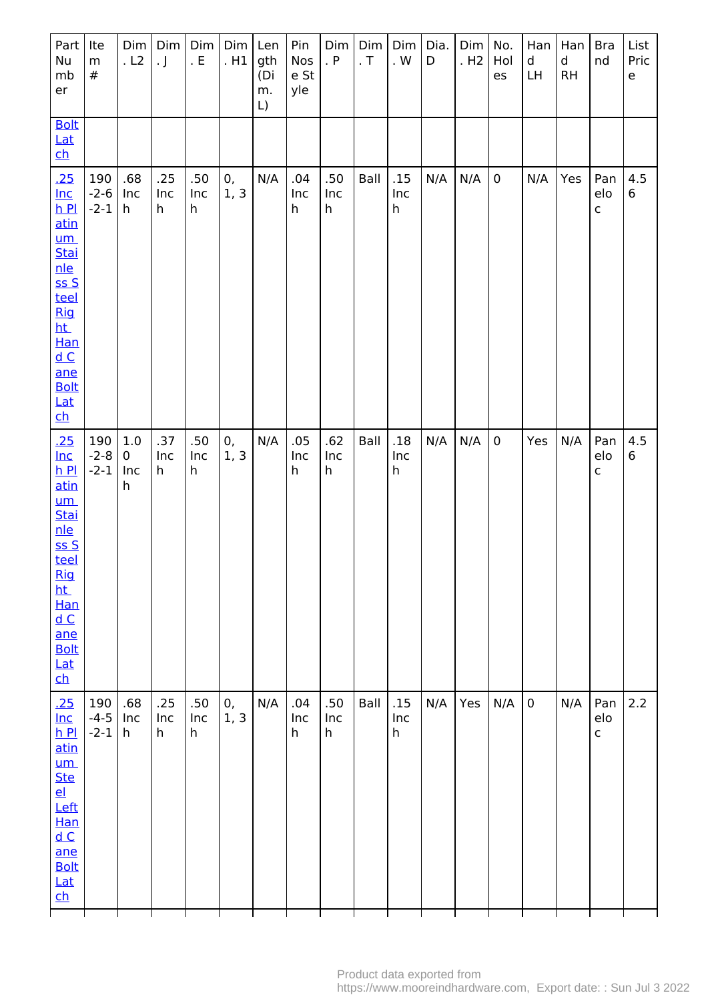| Part<br>Nu<br>mb<br>er                                                                                                                                                                          | Ite<br>${\sf m}$<br>$\#$  | Dim<br>. L2          | $\cdot$ J       | Dim   Dim  <br>. $\mathsf{E}% _{\mathsf{H}}$ | $Dim$ Len<br>.H1 | gth<br>(Di<br>m.<br>L) | Pin<br>Nos<br>e St<br>yle | Dim<br>. $P$    | Dim<br>. $\mathsf T$ | Dim<br>. $\mathsf{W}$      | Dia.<br>D | Dim<br>.H2 | No.<br>Hol<br>es | Han<br>d<br>LH. | Han<br>$\mathsf{d}$<br>RH | <b>Bra</b><br>nd           | List<br>Pric<br>e |
|-------------------------------------------------------------------------------------------------------------------------------------------------------------------------------------------------|---------------------------|----------------------|-----------------|----------------------------------------------|------------------|------------------------|---------------------------|-----------------|----------------------|----------------------------|-----------|------------|------------------|-----------------|---------------------------|----------------------------|-------------------|
| <b>Bolt</b><br><b>Lat</b><br>$\mathbf{ch}$                                                                                                                                                      |                           |                      |                 |                                              |                  |                        |                           |                 |                      |                            |           |            |                  |                 |                           |                            |                   |
| .25<br>$Inc$<br>$h$ $Pl$<br>atin<br>$um$<br>Stai<br>nle<br>ssS<br>teel<br>Rig<br><u>ht</u><br>Han<br>$\underline{\mathsf{d}\, \mathsf{C}}$<br>ane<br><b>Bolt</b><br><u>Lat</u><br>$\mathsf{ch}$ | 190<br>$-2-6$<br>$-2-1$   | .68<br>Inc<br>h      | .25<br>Inc<br>h | .50<br>Inc<br>h                              | 0,<br>1, 3       | N/A                    | .04<br>Inc<br>h           | .50<br>Inc<br>h | Ball                 | .15<br>Inc<br>$\mathsf{h}$ | N/A       | N/A        | $\pmb{0}$        | N/A             | Yes                       | Pan<br>elo<br>$\mathsf{C}$ | 4.5<br>6          |
| <u>.25</u><br>$lnc$<br>$h$ Pl<br>atin<br><u>um</u><br><b>Stai</b><br>nle<br>SSS<br>teel<br><b>Rig</b><br>ht.<br>Han<br>dC<br>ane<br><b>Bolt</b><br>Lat<br>$\mathbf{c}$                          | 190<br>$-2 - 8$<br>$-2-1$ | 1.0<br>0<br>Inc<br>h | .37<br>Inc<br>h | .50<br>Inc<br>h                              | 0,<br>1, 3       | N/A                    | .05<br>Inc<br>h           | .62<br>Inc<br>h | Ball                 | .18<br>Inc<br>h            | N/A       | N/A        | $\mathbf 0$      | Yes             | N/A                       | Pan<br>elo<br>C            | 4.5<br>6          |
| .25<br>$Inc$<br>$h$ Pl<br>atin<br>$um$<br><b>Ste</b><br>el<br>Left<br>Han<br>dC<br>ane<br><b>Bolt</b><br>Lat<br>$\mathbf{ch}$                                                                   | 190<br>$-4-5$<br>$-2-1$   | .68<br>Inc<br>h      | .25<br>Inc<br>h | .50<br>Inc<br>h                              | 0,<br>1, 3       | N/A                    | .04<br>Inc<br>h           | .50<br>Inc<br>h | Ball                 | .15<br>Inc<br>h            | N/A       | Yes        | N/A              | 0               | N/A                       | Pan<br>elo<br>$\mathsf{C}$ | 2.2               |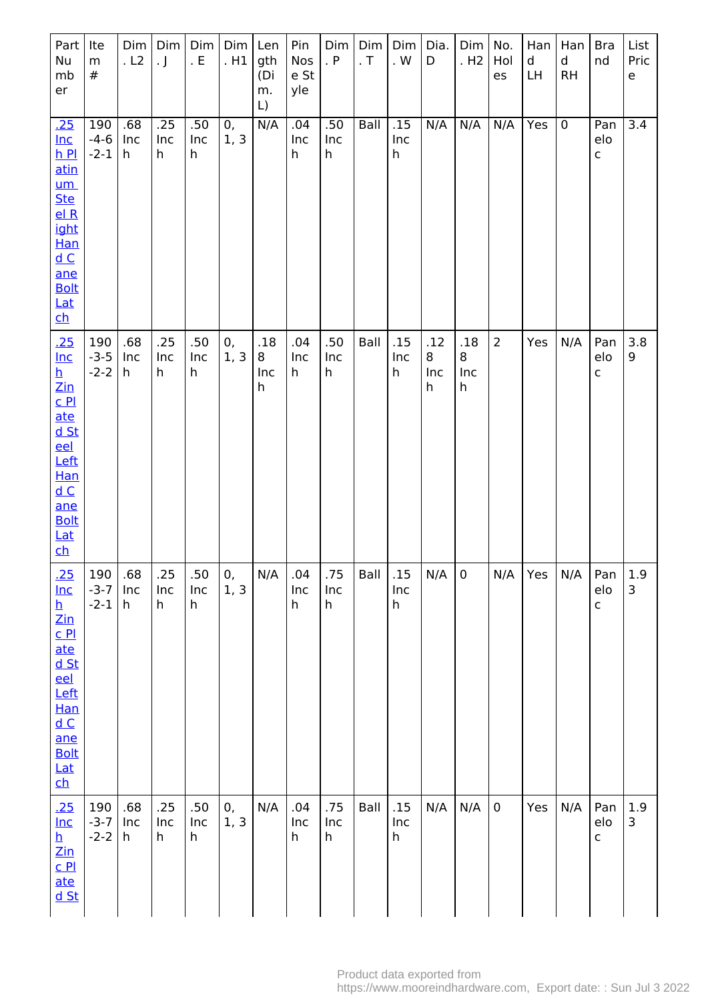| Part<br>Nu<br>mb<br>er                                                                                                                                                                                                          | Ite<br>${\sf m}$<br>#   | Dim<br>.L2      | Dim<br>$\cdot$ J | Dim<br>. $E$    | Dim<br>.H1 | Len<br>gth<br>(Di<br>m.<br>L) | Pin<br>Nos<br>e St<br>yle | Dim<br>. $P$              | Dim<br>. $\mathsf T$ | Dim<br>. $\mathsf{W}$     | Dia.<br>D                       | Dim<br>. H <sub>2</sub> | No.<br>Hol<br>es | Han<br>d<br>LH | Han<br>$\sf d$<br><b>RH</b> | <b>Bra</b><br>nd          | List<br>Pric<br>$\mathsf{e}% _{t}\left( t\right)$ |
|---------------------------------------------------------------------------------------------------------------------------------------------------------------------------------------------------------------------------------|-------------------------|-----------------|------------------|-----------------|------------|-------------------------------|---------------------------|---------------------------|----------------------|---------------------------|---------------------------------|-------------------------|------------------|----------------|-----------------------------|---------------------------|---------------------------------------------------|
| .25<br>$Inc$<br>$h$ Pl<br>atin<br>$um$<br><b>Ste</b><br>elR<br>ight<br>Han<br>dC<br>ane<br><b>Bolt</b><br><b>Lat</b><br>$\mathbf{ch}$                                                                                           | 190<br>$-4-6$<br>$-2-1$ | .68<br>Inc<br>h | .25<br>Inc<br>h  | .50<br>Inc<br>h | 0,<br>1, 3 | N/A                           | .04<br>Inc<br>h           | .50<br>Inc<br>$\mathsf h$ | Ball                 | .15<br>Inc<br>h           | N/A                             | N/A                     | N/A              | Yes            | $\pmb{0}$                   | Pan<br>elo<br>$\mathsf C$ | $\overline{3.4}$                                  |
| .25<br>$Inc$<br>h<br>$\mathsf{Zin}% \left( \mathsf{Z}\right) \equiv\mathsf{Zin}% \left( \mathsf{Z}\right)$<br>$C$ $P1$<br>ate<br>$d$ St<br>eel<br>Left<br><b>Han</b><br>dC<br>ane<br><b>Bolt</b><br><b>Lat</b><br>$\mathsf{ch}$ | 190<br>$-3-5$<br>$-2-2$ | .68<br>Inc<br>h | .25<br>Inc<br>h  | .50<br>Inc<br>h | 0,<br>1, 3 | .18<br>8<br>Inc<br>h          | .04<br>Inc<br>h           | .50<br>Inc<br>h           | Ball                 | .15<br>Inc<br>h           | .12<br>8<br>Inc<br>$\mathsf{h}$ | .18<br>8<br>Inc<br>h    | $\overline{2}$   | Yes            | N/A                         | Pan<br>elo<br>C           | 3.8<br>9                                          |
| <u>.25</u><br>$lnc$<br>$\frac{\mathsf{h}}{\mathsf{Zin}}$<br>$C$ $PL$<br>ate<br><u>d St</u><br>eel<br>Left<br>Han<br>$\underline{\mathsf{d}\, \mathsf{C}}$<br>ane<br><b>Bolt</b><br>$Lat$<br>$\overline{\mathsf{ch}}$            | 190<br>$-3-7$<br>$-2-1$ | .68<br>Inc<br>h | .25<br>Inc<br>h  | .50<br>Inc<br>h | 0,<br>1, 3 | N/A                           | .04<br>Inc<br>h           | .75<br>Inc<br>h           | Ball                 | .15<br>Inc<br>h           | N/A                             | $\pmb{0}$               | N/A              | Yes            | N/A                         | Pan<br>elo<br>$\mathsf C$ | 1.9<br>$\mathsf{3}$                               |
| .25<br>$Inc$<br>$\mathbf h$<br>$\mathsf{Zin}% \left( \mathsf{Z}\right) \equiv\mathsf{Zin}% \left( \mathsf{Z}\right)$<br>C <sub>Pl</sub><br>ate<br><u>d St</u>                                                                   | 190<br>$-3-7$<br>$-2-2$ | .68<br>Inc<br>h | .25<br>Inc<br>h  | .50<br>Inc<br>h | 0,<br>1, 3 | N/A                           | .04<br>Inc<br>h           | .75<br>Inc<br>h           | Ball                 | .15<br>Inc<br>$\mathsf h$ | N/A                             | N/A                     | $\pmb{0}$        | Yes            | N/A                         | Pan<br>elo<br>C           | 1.9<br>3                                          |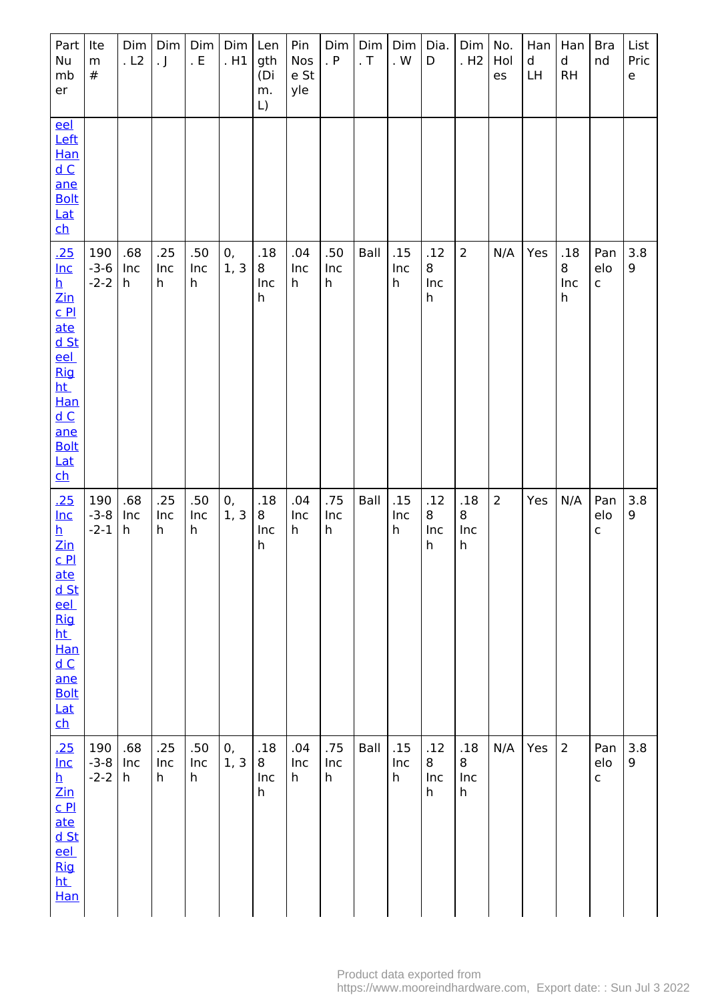| Part<br>Nu<br>mb<br>er                                                                                                                                                                                                                                                                                                     | Ite<br>m<br>#           | Dim<br>.L2      | Dim<br>$\cdot$ J | Dim<br>. $E$    | Dim<br>. H1 | Len<br>gth<br>(Di<br>m.<br>$\lfloor$ | Pin<br>Nos<br>e St<br>yle | Dim<br>. P      | Dim<br>. $T$ | Dim<br>. $\mathsf{W}$     | Dia.<br>D            | Dim<br>. H <sub>2</sub> | No.<br>Hol<br>es | Han<br>d<br>LH | Han<br>d<br><b>RH</b> | <b>Bra</b><br>nd           | List<br>Pric<br>e |
|----------------------------------------------------------------------------------------------------------------------------------------------------------------------------------------------------------------------------------------------------------------------------------------------------------------------------|-------------------------|-----------------|------------------|-----------------|-------------|--------------------------------------|---------------------------|-----------------|--------------|---------------------------|----------------------|-------------------------|------------------|----------------|-----------------------|----------------------------|-------------------|
| eel<br>Left<br><b>Han</b><br>dC<br>ane<br><b>Bolt</b><br>Lat<br>$\overline{\mathsf{ch}}$                                                                                                                                                                                                                                   |                         |                 |                  |                 |             |                                      |                           |                 |              |                           |                      |                         |                  |                |                       |                            |                   |
| .25<br>$Inc$<br>$\frac{\overline{h}}{\overline{z}}$<br>$C$ $PL$<br>ate<br>d St<br><u>eel</u><br><b>Rig</b><br><u>ht</u><br><b>Han</b><br>$\underline{\mathsf{d}\, \mathsf{C}}$<br>ane<br><b>Bolt</b><br>Lat<br><u>ch</u>                                                                                                   | 190<br>$-3-6$<br>$-2-2$ | .68<br>Inc<br>h | .25<br>Inc<br>h  | .50<br>Inc<br>h | 0,<br>1, 3  | .18<br>8<br>Inc<br>h                 | .04<br>Inc<br>h           | .50<br>Inc<br>h | Ball         | .15<br>Inc<br>$\mathsf h$ | .12<br>8<br>Inc<br>h | $\overline{2}$          | N/A              | Yes            | .18<br>8<br>Inc<br>h  | Pan<br>elo<br>$\mathsf{C}$ | 3.8<br>9          |
| .25<br>$lnc$<br>$\overline{\mathbf{h}}$<br>$\mathsf{Zin}% \left( \mathsf{Z}\right) \equiv\mathsf{Zin}% \left( \mathsf{Z}\right)$<br>C <sub>P1</sub><br>ate<br><u>d St</u><br>eel<br><b>Rig</b><br>ht_<br>Han<br>$\underline{\mathsf{d}}$ $\underline{\mathsf{C}}$<br>ane<br><b>Bolt</b><br>Lat<br>$\overline{\mathsf{ch}}$ | 190<br>$-3-8$<br>$-2-1$ | .68<br>Inc<br>h | .25<br>Inc<br>h  | .50<br>Inc<br>h | 0,<br>1, 3  | .18<br>8<br>Inc<br>h                 | .04<br>Inc<br>h           | .75<br>Inc<br>h | Ball         | .15<br>Inc<br>$\mathsf h$ | .12<br>8<br>Inc<br>h | .18<br>8<br>Inc<br>h    | $\overline{2}$   | Yes            | N/A                   | Pan<br>elo<br>$\mathsf{C}$ | 3.8<br>9          |
| .25<br>$lnc$<br>$\overline{\mathbf{h}}$<br>$\mathsf{Zin}% \left( \mathsf{Z}\right) \equiv\mathsf{Zin}% \left( \mathsf{Z}\right)$<br>C <sub>Pl</sub><br><u>ate</u><br><u>d St</u><br>eel<br><b>Rig</b><br><u>ht</u><br>Han                                                                                                  | 190<br>$-3-8$<br>$-2-2$ | .68<br>Inc<br>h | .25<br>Inc<br>h  | .50<br>Inc<br>h | 0,<br>1, 3  | .18<br>8<br>Inc<br>h                 | .04<br>Inc<br>h           | .75<br>Inc<br>h | Ball         | .15<br>Inc<br>h           | .12<br>8<br>Inc<br>h | .18<br>8<br>Inc<br>h    | N/A              | Yes            | $\overline{2}$        | Pan<br>elo<br>$\mathsf{C}$ | 3.8<br>9          |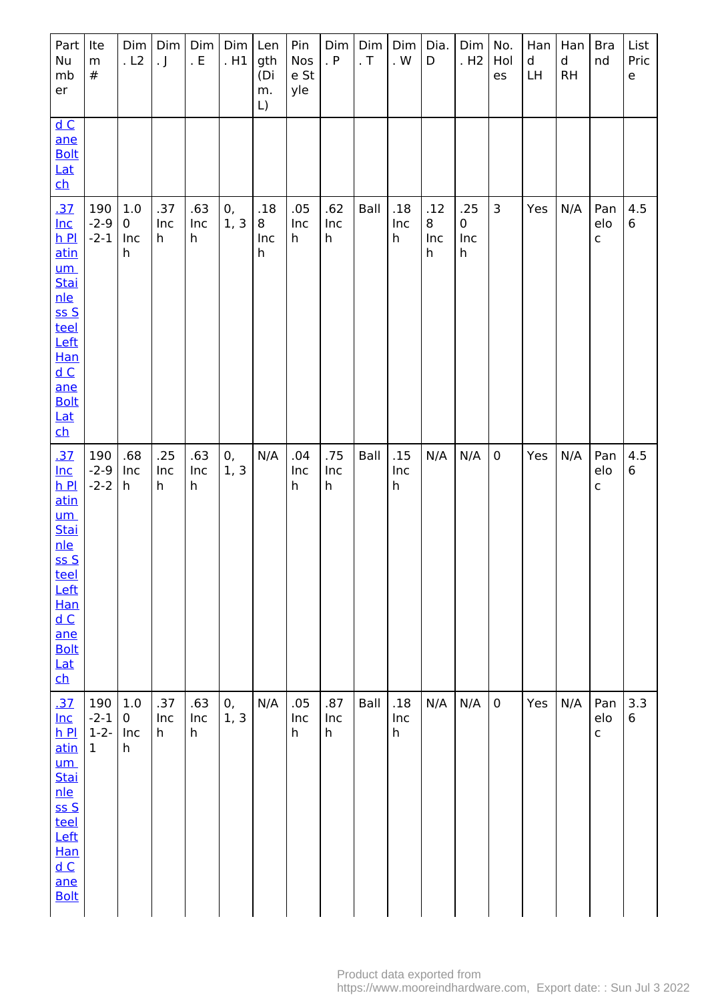| Part<br>Nu<br>mb<br>er                                                                                                                                                              | Ite<br>m<br>$\#$                          | Dim<br>.L2                       | Dim<br>$\cdot$ J | Dim<br>. $\mathsf{E}% _{\mathsf{H}}$ | $Dim$ Len<br>. H1 | gth<br>(Di<br>m.<br>$\lfloor$ | Pin<br><b>Nos</b><br>e St<br>yle | Dim<br>. P      | Dim<br>. $\mathsf T$ | Dim<br>. $\mathsf{W}$     | Dia.<br>D            | Dim<br>. H <sub>2</sub>        | No.<br>Hol<br>es | Han<br>d<br>LH | Han<br>d<br><b>RH</b> | <b>Bra</b><br>nd           | List<br>Pric<br>e |
|-------------------------------------------------------------------------------------------------------------------------------------------------------------------------------------|-------------------------------------------|----------------------------------|------------------|--------------------------------------|-------------------|-------------------------------|----------------------------------|-----------------|----------------------|---------------------------|----------------------|--------------------------------|------------------|----------------|-----------------------|----------------------------|-------------------|
| dC<br>ane<br><b>Bolt</b><br>Lat<br><u>ch</u>                                                                                                                                        |                                           |                                  |                  |                                      |                   |                               |                                  |                 |                      |                           |                      |                                |                  |                |                       |                            |                   |
| .37<br>$Inc$<br>$h$ Pl<br>atin<br>$um$<br><b>Stai</b><br>nle<br>SSS<br>teel<br>Left<br>Han<br>dC<br>ane<br><b>Bolt</b><br><b>Lat</b><br><u>ch</u>                                   | 190<br>$-2-9$<br>$-2-1$                   | $1.0\,$<br>$\pmb{0}$<br>Inc<br>h | .37<br>Inc<br>h  | .63<br>Inc<br>h                      | 0,<br>1, 3        | .18<br>8<br>Inc<br>h          | .05<br>Inc<br>h                  | .62<br>Inc<br>h | Ball                 | .18<br>Inc<br>h           | .12<br>8<br>Inc<br>h | .25<br>$\mathbf 0$<br>Inc<br>h | $\mathbf{3}$     | Yes            | N/A                   | Pan<br>elo<br>$\mathsf{C}$ | 4.5<br>6          |
| <u>.37</u><br>$Inc$<br>$h$ Pl<br>atin<br><u>um</u><br><b>Stai</b><br><u>nle</u><br>SSS<br><u>teel</u><br>Left<br>Han<br>dC<br>ane<br><b>Bolt</b><br>Lat<br>$\overline{\mathsf{ch}}$ | 190<br>$-2-9$<br>$-2-2$                   | .68<br>Inc<br>h                  | .25<br>Inc<br>h  | .63<br>Inc<br>h                      | 0,<br>1, 3        | N/A                           | .04<br>Inc<br>h                  | .75<br>Inc<br>h | Ball                 | .15<br>Inc<br>h           | N/A                  | N/A                            | $\pmb{0}$        | Yes            | N/A                   | Pan<br>elo<br>$\mathsf C$  | 4.5<br>6          |
| .37<br>$Inc$<br>hP<br>atin<br>$um$<br><b>Stai</b><br><u>nle</u><br>SSS<br>teel<br>Left<br><b>Han</b><br>dC<br>ane<br><b>Bolt</b>                                                    | 190<br>$-2-1$<br>$1 - 2 -$<br>$\mathbf 1$ | $1.0\,$<br>$\pmb{0}$<br>Inc<br>h | .37<br>Inc<br>h  | .63<br>Inc<br>h                      | 0,<br>1, 3        | N/A                           | .05<br>Inc<br>h                  | .87<br>Inc<br>h | Ball                 | .18<br>Inc<br>$\mathsf h$ | N/A                  | N/A                            | $\pmb{0}$        | Yes            | N/A                   | Pan<br>elo<br>$\mathsf{C}$ | 3.3<br>6          |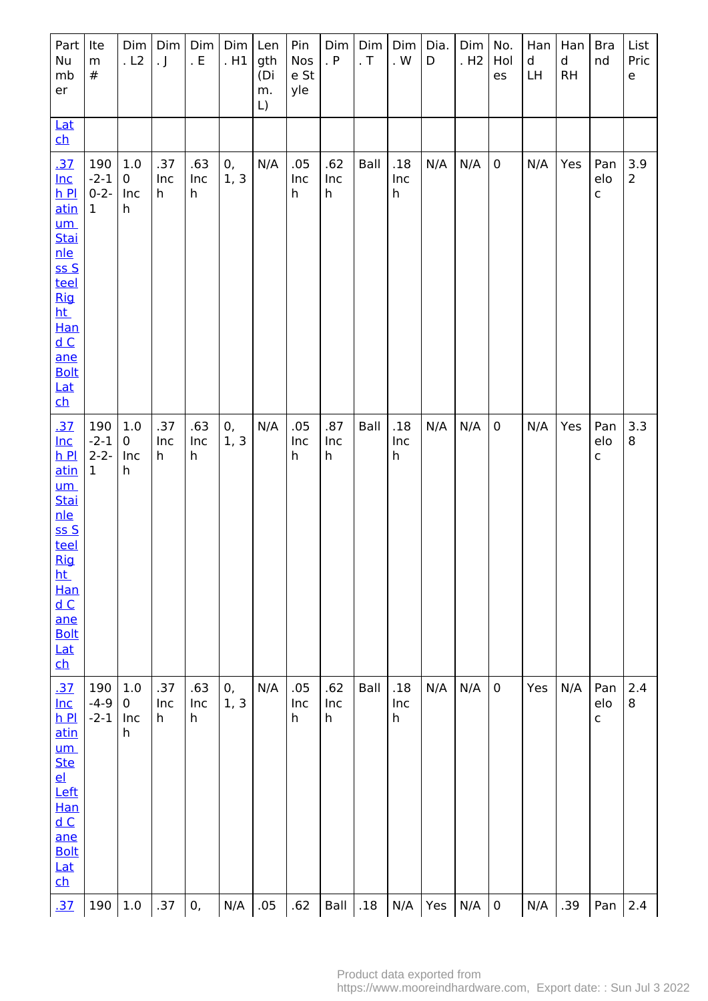| Part<br>Nu<br>mb<br>er                                                                                                                                                    | Ite<br>${\sf m}$<br>$\#$                   | Dim<br>. L2                    | Dim <sub> </sub><br>$\cdot$ J | Dim  <br>. $\mathsf{E}% _{\mathsf{H}}$ | Dim <br>. H1 | Len<br>gth<br>(Di<br>m.<br>L) | Pin<br>Nos<br>e St<br>yle | Dim<br>. P      | Dim<br>. $\mathsf T$ | Dim<br>. $W$                            | Dia.<br>D | Dim<br>.H2 | No.<br>Hol<br>es | Han<br>d<br>LH | Han<br>$\mathsf{d}$<br>RH | <b>Bra</b><br>nd           | List<br>Pric<br>e     |
|---------------------------------------------------------------------------------------------------------------------------------------------------------------------------|--------------------------------------------|--------------------------------|-------------------------------|----------------------------------------|--------------|-------------------------------|---------------------------|-----------------|----------------------|-----------------------------------------|-----------|------------|------------------|----------------|---------------------------|----------------------------|-----------------------|
| Lat<br>$\mathbf{ch}$                                                                                                                                                      |                                            |                                |                               |                                        |              |                               |                           |                 |                      |                                         |           |            |                  |                |                           |                            |                       |
| .37<br>$Inc$<br>$h$ Pl<br>atin<br>$um$<br>Stai<br>nle<br>ssS<br>teel<br>Rig<br>ht_<br>Han<br>dC<br>ane<br><b>Bolt</b><br><u>Lat</u><br>$\mathbf{ch}$                      | 190<br>$-2-1$<br>$0 - 2 -$<br>$\mathbf{1}$ | 1.0<br>$\mathbf 0$<br>Inc<br>h | .37<br>Inc<br>h               | .63<br>Inc<br>h                        | 0,<br>1, 3   | N/A                           | .05<br>Inc<br>h           | .62<br>Inc<br>h | Ball                 | .18<br>Inc<br>$\mathsf{h}$              | N/A       | N/A        | $\mathsf 0$      | N/A            | Yes                       | Pan<br>elo<br>$\mathsf{C}$ | 3.9<br>$\overline{2}$ |
| .37<br>$Inc$<br>$h$ $Pl$<br>atin<br>$um$<br><b>Stai</b><br>nle<br>ss S<br>teel<br><b>Rig</b><br>ht_<br>Han<br>dC<br>ane<br><b>Bolt</b><br>Lat<br>$\overline{\mathsf{ch}}$ | 190<br>$-2-1$<br>$2 - 2 -$<br>$\mathbf{1}$ | 1.0<br>$\pmb{0}$<br>Inc<br>h   | .37<br>Inc<br>h               | .63<br>Inc<br>h                        | 0,<br>1, 3   | N/A                           | .05<br>Inc<br>h           | .87<br>Inc<br>h | Ball                 | .18<br>Inc<br>$\mathsf{h}$              | N/A       | N/A        | $\mathbf 0$      | N/A            | Yes                       | Pan<br>elo<br>$\mathsf{C}$ | 3.3<br>8              |
| <u>.37</u><br>$Inc$<br>$h$ Pl<br>atin<br>um<br><b>Ste</b><br>$e$<br>Left<br><b>Han</b><br>dC<br>ane<br><b>Bolt</b><br><b>Lat</b><br>ch                                    | 190<br>$-4-9$<br>$-2-1$                    | 1.0<br>$\mathbf 0$<br>Inc<br>h | .37<br>Inc<br>h               | .63<br>Inc<br>h                        | 0,<br>1, 3   | N/A                           | .05<br>Inc<br>h           | .62<br>Inc<br>h | Ball                 | .18<br>Inc<br>$\boldsymbol{\mathsf{h}}$ | N/A       | N/A        | $\mathbf 0$      | Yes            | N/A                       | Pan<br>elo<br>$\mathsf{C}$ | 2.4<br>8              |
| .37                                                                                                                                                                       | 190                                        | 1.0                            | .37                           | 0,                                     | N/A          | .05                           | .62                       | Ball            | .18                  | N/A                                     | Yes       | N/A        | $\pmb{0}$        | N/A            | .39                       | Pan                        | 2.4                   |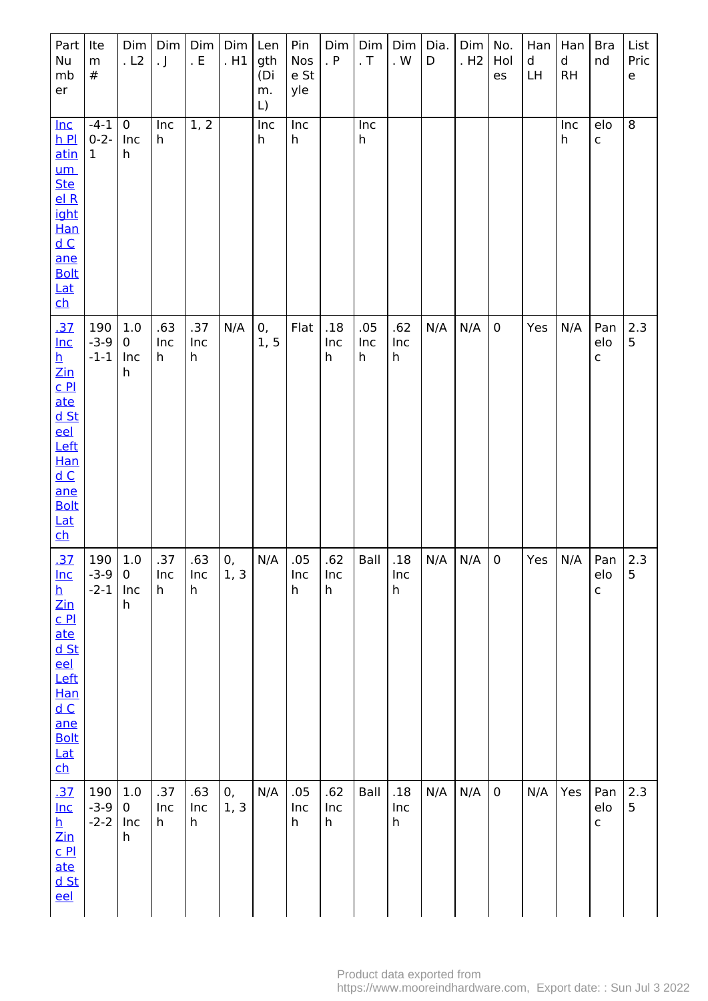| Part<br>Nu<br>mb<br>er                                                                                                                                                                                                                                                                    | Ite<br>${\sf m}$<br>$\#$            | Dim<br>. L2                  | Dim<br>. $\mathsf{J}$ | Dim<br>. $E$              | Dim<br>. H1 | Len<br>gth<br>(Di<br>m.<br>$\lfloor$ | Pin<br>Nos<br>e St<br>yle | Dim<br>. $P$    | Dim<br>. $\sf T$ | Dim<br>. $\mathsf{W}$      | Dia.<br>D | Dim<br>. H <sub>2</sub> | No.<br>Hol<br>es | Han<br>d<br>LH | Han<br>d<br><b>RH</b> | <b>Bra</b><br>nd           | List<br>Pric<br>e |
|-------------------------------------------------------------------------------------------------------------------------------------------------------------------------------------------------------------------------------------------------------------------------------------------|-------------------------------------|------------------------------|-----------------------|---------------------------|-------------|--------------------------------------|---------------------------|-----------------|------------------|----------------------------|-----------|-------------------------|------------------|----------------|-----------------------|----------------------------|-------------------|
| <u>Inc</u><br>$h$ Pl<br><u>atin</u><br><u>um</u><br><b>Ste</b><br>el R<br>ight<br>Han<br>dC<br>ane<br><b>Bolt</b><br>$Lat$<br>$\overline{\mathsf{ch}}$                                                                                                                                    | $-4-1$<br>$0 - 2 -$<br>$\mathbf{1}$ | $\pmb{0}$<br>Inc<br>h        | Inc<br>h              | 1, 2                      |             | Inc<br>h                             | Inc<br>h                  |                 | Inc<br>h         |                            |           |                         |                  |                | Inc<br>h              | elo<br>$\mathsf{C}$        | $\overline{8}$    |
| <u>.37</u><br>$Inc$<br><u>h</u><br>$\mathsf{Zin}% \left( \mathsf{Z}\right) \equiv\mathsf{Zin}% \left( \mathsf{Z}\right)$<br>C <sub>Pl</sub><br>ate<br><u>d St</u><br>eel<br>Left<br>Han<br>$\underline{\mathsf{d}\, \mathsf{C}}$<br>ane<br><b>Bolt</b><br>Lat<br>$\overline{\mathsf{ch}}$ | 190<br>$-3-9$<br>$-1-1$             | $1.0\,$<br>0<br>Inc<br>h     | .63<br>Inc<br>h       | .37<br>Inc<br>$\mathsf h$ | N/A         | 0,<br>1, 5                           | Flat                      | .18<br>Inc<br>h | .05<br>Inc<br>h  | .62<br>Inc<br>$\mathsf{h}$ | N/A       | N/A                     | $\pmb{0}$        | Yes            | N/A                   | Pan<br>elo<br>$\mathsf{C}$ | 2.3<br>5          |
| .37<br>$Inc$<br>$\frac{\overline{h}}{\underline{h}}$<br>Zin<br><u>c Pl</u><br>ate<br><u>d St</u><br>eel<br>Left<br><b>Han</b><br>dC<br>ane<br><b>Bolt</b><br><u>Lat</u><br>$\overline{\mathsf{ch}}$                                                                                       | 190<br>$-3-9$<br>$-2-1$             | 1.0<br>$\pmb{0}$<br>Inc<br>h | .37<br>Inc<br>h       | .63<br>Inc<br>h           | 0,<br>1, 3  | N/A                                  | .05<br>Inc<br>h           | .62<br>Inc<br>h | Ball             | .18<br>Inc<br>$\mathsf{h}$ | N/A       | N/A                     | $\pmb{0}$        | Yes            | N/A                   | Pan<br>elo<br>$\mathsf{C}$ | 2.3<br>5          |
| .37<br>$Inc$<br>$\frac{\mathsf{h}}{\mathsf{Zin}}$<br>C <sub>Pl</sub><br><u>ate</u><br>$d$ St<br>eel                                                                                                                                                                                       | 190<br>$-3-9$<br>$-2-2$             | $1.0\,$<br>0<br>Inc<br>h     | .37<br>Inc<br>h       | .63<br>Inc<br>h           | 0,<br>1, 3  | N/A                                  | .05<br>Inc<br>h           | .62<br>Inc<br>h | Ball             | .18<br>Inc<br>$\mathsf h$  | N/A       | N/A                     | $\pmb{0}$        | N/A            | Yes                   | Pan<br>elo<br>$\mathsf{C}$ | 2.3<br>5          |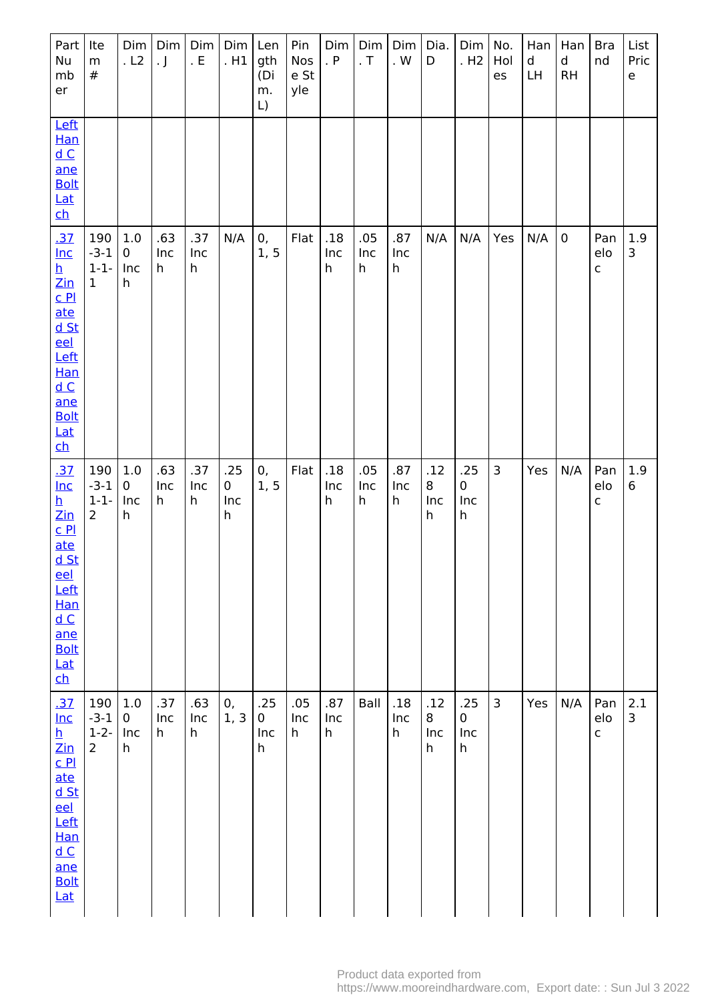| Part<br>Nu<br>mb<br>er                                                                                                                                                                                                                     | Ite<br>${\sf m}$<br>$\#$                     | Dim<br>.L2                       | Dim<br>. $\mathsf{J}$ | Dim<br>. $E$    | Dim<br>.H1           | Len<br>gth<br>(Di<br>m.<br>$\lfloor$ | Pin<br>Nos<br>e St<br>yle | Dim<br>. $P$    | Dim<br>. $T$    | Dim<br>. $\mathsf{W}$      | Dia.<br>D            | Dim <sub> </sub><br>. H <sub>2</sub> | No.<br>Hol<br>es | Han<br>d<br>LH | Han<br>d<br><b>RH</b> | <b>Bra</b><br>nd           | List<br>Pric<br>e |
|--------------------------------------------------------------------------------------------------------------------------------------------------------------------------------------------------------------------------------------------|----------------------------------------------|----------------------------------|-----------------------|-----------------|----------------------|--------------------------------------|---------------------------|-----------------|-----------------|----------------------------|----------------------|--------------------------------------|------------------|----------------|-----------------------|----------------------------|-------------------|
| Left<br>Han<br>$\underline{\mathsf{d}}$ $\underline{\mathsf{C}}$<br>ane<br><b>Bolt</b><br><b>Lat</b><br><u>ch</u>                                                                                                                          |                                              |                                  |                       |                 |                      |                                      |                           |                 |                 |                            |                      |                                      |                  |                |                       |                            |                   |
| <u>.37</u><br>$Inc$<br>$\frac{\mathbf{h}}{\mathbf{Z} \mathbf{in}}$<br>C <sub>Pl</sub><br>ate<br><u>d St</u><br>eel<br>Left<br>Han<br>$\underline{\mathsf{d}\, \mathsf{C}}$<br>ane<br><b>Bolt</b><br><u>Lat</u><br>$\overline{\mathsf{ch}}$ | 190<br>$-3-1$<br>$1 - 1 -$<br>$\mathbf{1}$   | $1.0\,$<br>$\pmb{0}$<br>Inc<br>h | .63<br>Inc<br>h       | .37<br>Inc<br>h | N/A                  | 0,<br>1, 5                           | Flat                      | .18<br>Inc<br>h | .05<br>Inc<br>h | .87<br>Inc<br>h            | N/A                  | N/A                                  | Yes              | N/A            | $\pmb{0}$             | Pan<br>elo<br>$\mathsf{C}$ | 1.9<br>3          |
| <u>.37</u><br>$Inc$<br>h<br>$\mathsf{Zin}% \left( \mathsf{Z}\right) \equiv\mathsf{Zin}% \left( \mathsf{Z}\right)$<br>$C$ $P1$<br>ate<br>$d$ St<br>eel<br>Left<br>Han<br>dC<br>ane<br><b>Bolt</b><br><b>Lat</b><br>$\overline{\mathsf{ch}}$ | 190<br>$-3-1$<br>$1 - 1 -$<br>$\overline{2}$ | $1.0\,$<br>0<br>Inc<br>h         | .63<br>Inc<br>h       | .37<br>Inc<br>h | .25<br>0<br>Inc<br>h | 0,<br>1, 5                           | Flat                      | .18<br>Inc<br>h | .05<br>Inc<br>h | .87<br>Inc<br>h            | .12<br>8<br>Inc<br>h | .25<br>0<br>Inc<br>$\mathsf h$       | 3                | Yes            | N/A                   | Pan<br>elo<br>$\mathsf{C}$ | 1.9<br>6          |
| .37<br>$Inc$<br>$\frac{\mathsf{h}}{\mathsf{Zin}}$<br><u>c Pl</u><br>ate<br><u>d St</u><br>eel<br>Left<br>Han<br>dC<br>ane<br><b>Bolt</b><br><b>Lat</b>                                                                                     | 190<br>$-3-1$<br>$1 - 2 -$<br>$\overline{2}$ | $1.0\,$<br>$\pmb{0}$<br>Inc<br>h | .37<br>Inc<br>h       | .63<br>Inc<br>h | 0,<br>1, 3           | .25<br>0<br>Inc<br>h                 | .05<br>Inc<br>h           | .87<br>Inc<br>h | Ball            | .18<br>Inc<br>$\mathsf{h}$ | .12<br>8<br>Inc<br>h | .25<br>0<br>Inc<br>$\mathsf{h}$      | $\mathsf{3}$     | Yes            | N/A                   | Pan<br>elo<br>$\mathsf{C}$ | 2.1<br>3          |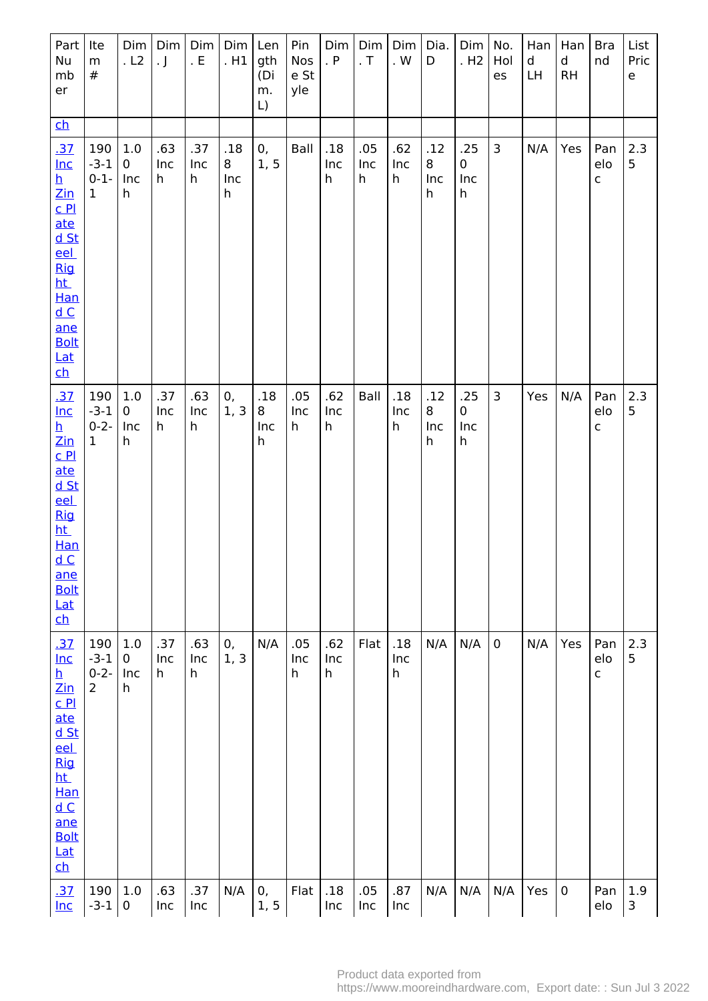| Part<br>Nu<br>mb<br>er                                                                                                                                                                                                                             | Ite<br>${\sf m}$<br>$\#$                     | Dim<br>.L2                     | Dim<br>$\cdot$ J | Dim<br>. $\mathsf E$ | Dim<br>. H1          | Len<br>gth<br>(Di<br>m.<br>$\mathsf{L}$ | Pin<br>Nos<br>e St<br>yle | Dim<br>. P      | Dim<br>. $\mathsf T$ | Dim<br>. $\mathsf{W}$      | Dia.<br>D            | Dim   No.<br>.H2               | Hol<br>es      | Han<br>d<br>LH | Han<br>$\mathsf{d}$<br><b>RH</b> | <b>Bra</b><br>nd           | List<br>Pric<br>$\mathsf{e}% _{t}\left( t\right)$ |
|----------------------------------------------------------------------------------------------------------------------------------------------------------------------------------------------------------------------------------------------------|----------------------------------------------|--------------------------------|------------------|----------------------|----------------------|-----------------------------------------|---------------------------|-----------------|----------------------|----------------------------|----------------------|--------------------------------|----------------|----------------|----------------------------------|----------------------------|---------------------------------------------------|
| $\mathbf{c}$                                                                                                                                                                                                                                       |                                              |                                |                  |                      |                      |                                         |                           |                 |                      |                            |                      |                                |                |                |                                  |                            |                                                   |
| .37<br>$lnc$<br><u>h</u><br>$\mathsf{Zin}$<br>$C$ $P1$<br>ate<br><u>d St</u><br>eel<br><b>Rig</b><br>ht_<br>Han<br>dC<br>ane<br><b>Bolt</b><br>Lat<br><u>ch</u>                                                                                    | 190<br>$-3-1$<br>$0 - 1 -$<br>$\mathbf{1}$   | 1.0<br>0<br>Inc<br>h           | .63<br>Inc<br>h  | .37<br>Inc<br>h      | .18<br>8<br>Inc<br>h | 0,<br>1, 5                              | Ball                      | .18<br>Inc<br>h | .05<br>Inc<br>h      | .62<br>Inc<br>$\mathsf h$  | .12<br>8<br>Inc<br>h | .25<br>$\mathbf 0$<br>Inc<br>h | $\overline{3}$ | N/A            | Yes                              | Pan<br>elo<br>C            | 2.3<br>5                                          |
| <u>.37</u><br>$Inc$<br><u>h</u><br>$\mathsf{Zin}% \left( \mathsf{Z}\right) \equiv\mathsf{Zin}% \left( \mathsf{Z}\right)$<br>$C$ $PL$<br>ate<br>$d$ St<br>eel<br><b>Rig</b><br>ht_<br><b>Han</b><br>dC<br>ane<br><b>Bolt</b><br>Lat<br>$\mathbf{c}$ | 190<br>$-3-1$<br>$0 - 2 -$<br>$\mathbf{1}$   | 1.0<br>$\pmb{0}$<br>Inc<br>h   | .37<br>Inc<br>h  | .63<br>Inc<br>h      | 0,<br>1, 3           | .18<br>8<br>Inc<br>h                    | .05<br>Inc<br>h           | .62<br>Inc<br>h | Ball                 | .18<br>Inc<br>h            | .12<br>8<br>Inc<br>h | .25<br>$\mathbf 0$<br>Inc<br>h | $\mathsf{3}$   | Yes            | N/A                              | Pan<br>elo<br>$\mathsf{C}$ | 2.3<br>5                                          |
| .37<br>$Inc$<br>h<br>$\mathsf{Zin}% \left( \mathsf{Z}\right)$<br>$C$ $P1$<br>ate<br><u>d St</u><br>eel<br><b>Rig</b><br>ht_<br>Han<br>dC<br>ane<br><b>Bolt</b><br><u>Lat</u><br>$\overline{\mathsf{ch}}$                                           | 190<br>$-3-1$<br>$0 - 2 -$<br>$\overline{2}$ | 1.0<br>$\mathbf 0$<br>Inc<br>h | .37<br>Inc<br>h  | .63<br>Inc<br>h      | 0,<br>1, 3           | N/A                                     | .05<br>Inc<br>h           | .62<br>Inc<br>h | Flat                 | .18<br>Inc<br>$\mathsf{h}$ | N/A                  | N/A                            | $\overline{0}$ | N/A            | Yes                              | Pan<br>elo<br>$\mathsf{C}$ | 2.3<br>5                                          |
| .37<br>$Inc$                                                                                                                                                                                                                                       | 190<br>$-3-1$                                | 1.0<br>$\boldsymbol{0}$        | .63<br>Inc       | .37<br>Inc           | N/A                  | 0,<br>1, 5                              | Flat                      | $.18\,$<br>Inc  | .05<br>Inc           | .87<br>Inc                 | N/A                  | N/A                            | N/A            | Yes            | $\mathbf 0$                      | Pan<br>elo                 | $1.9\,$<br>3                                      |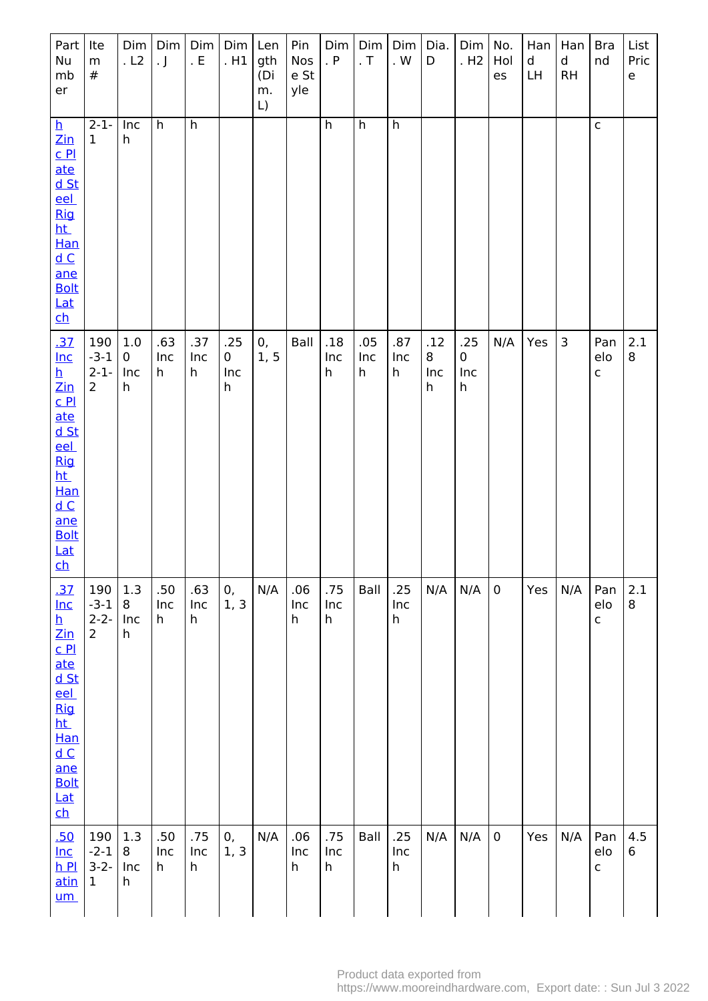| Part<br>Nu<br>mb<br>er                                                                                                                                                                                                                             | Ite<br>${\sf m}$<br>#                        | Dim<br>.L2                         | Dim<br>$\cdot$ J | Dim<br>. $E$    | $Dim$ Len<br>.H1     | gth<br>(Di<br>m.<br>$\lfloor$ | Pin<br>Nos<br>e St<br>yle | Dim<br>. P      | Dim<br>. $\top$ | Dim<br>. $W$               | Dia.<br>D            | $Dim$   No.<br>. H <sub>2</sub> | Hol<br>es   | Han<br>$\mathsf{d}$<br>LH | Han<br>d<br>RH | <b>Bra</b><br>nd           | List<br>Pric<br>e |
|----------------------------------------------------------------------------------------------------------------------------------------------------------------------------------------------------------------------------------------------------|----------------------------------------------|------------------------------------|------------------|-----------------|----------------------|-------------------------------|---------------------------|-----------------|-----------------|----------------------------|----------------------|---------------------------------|-------------|---------------------------|----------------|----------------------------|-------------------|
| $\mathbf{p}$<br>$\frac{\text{Zin}}{\text{Zin}}$<br>C <sub>Pl</sub><br>ate<br>d St<br>eel<br><b>Rig</b><br>ht_<br>Han<br>dC<br>ane<br><b>Bolt</b><br><u>Lat</u><br>$\overline{\mathsf{ch}}$                                                         | $2-1-$<br>$\mathbf 1$                        | Inc<br>h                           | h                | h               |                      |                               |                           | $\overline{h}$  | h               | $\overline{h}$             |                      |                                 |             |                           |                | $\mathsf{C}$               |                   |
| <u>.37</u><br>$Inc$<br>h<br>$\mathsf{Zin}% \left( \mathsf{Z}\right) \equiv\mathsf{Zin}% \left( \mathsf{Z}\right)$<br>$C$ $P1$<br>ate<br>$d$ St<br><u>eel</u><br><b>Rig</b><br><u>ht</u><br>Han<br>dC<br>ane<br><b>Bolt</b><br>Lat<br>$\mathsf{ch}$ | 190<br>$-3-1$<br>$2-1-$<br>$\overline{2}$    | $1.0\,$<br>0<br>Inc<br>$\mathsf h$ | .63<br>Inc<br>h  | .37<br>Inc<br>h | .25<br>0<br>Inc<br>h | 0,<br>1, 5                    | Ball                      | .18<br>Inc<br>h | .05<br>Inc<br>h | .87<br>Inc<br>h            | .12<br>8<br>Inc<br>h | .25<br>$\mathbf 0$<br>Inc<br>h  | N/A         | Yes                       | 3              | Pan<br>elo<br>$\mathsf{C}$ | 2.1<br>8          |
| .37<br>$Inc$<br><u>h</u><br>Zin<br>$C$ $P1$<br>ate<br><u>d St</u><br><u>eel</u><br><b>Rig</b><br>ht_<br>Han<br>dC<br>ane<br><b>Bolt</b><br>Lat<br>$\overline{\mathsf{ch}}$                                                                         | 190<br>$-3-1$<br>$2 - 2 -$<br>$\overline{2}$ | 1.3<br>8<br>Inc<br>h               | .50<br>Inc<br>h  | .63<br>Inc<br>h | 0,<br>1, 3           | N/A                           | .06<br>Inc<br>h           | .75<br>Inc<br>h | Ball            | .25<br>Inc<br>$\mathsf{h}$ | N/A                  | N/A                             | $\mathbf 0$ | Yes                       | N/A            | Pan<br>elo<br>$\mathsf{C}$ | 2.1<br>8          |
| .50<br>$Inc$<br>$h$ Pl<br>atin<br><u>um</u>                                                                                                                                                                                                        | 190<br>$-2-1$<br>$3-2-$<br>$\mathbf{1}$      | 1.3<br>8<br>Inc<br>h               | .50<br>Inc<br>h  | .75<br>Inc<br>h | 0,<br>1, 3           | N/A                           | .06<br>Inc<br>h           | .75<br>Inc<br>h | Ball            | .25<br>Inc<br>h            | N/A                  | N/A                             | $\pmb{0}$   | Yes                       | N/A            | Pan<br>elo<br>$\mathsf C$  | 4.5<br>6          |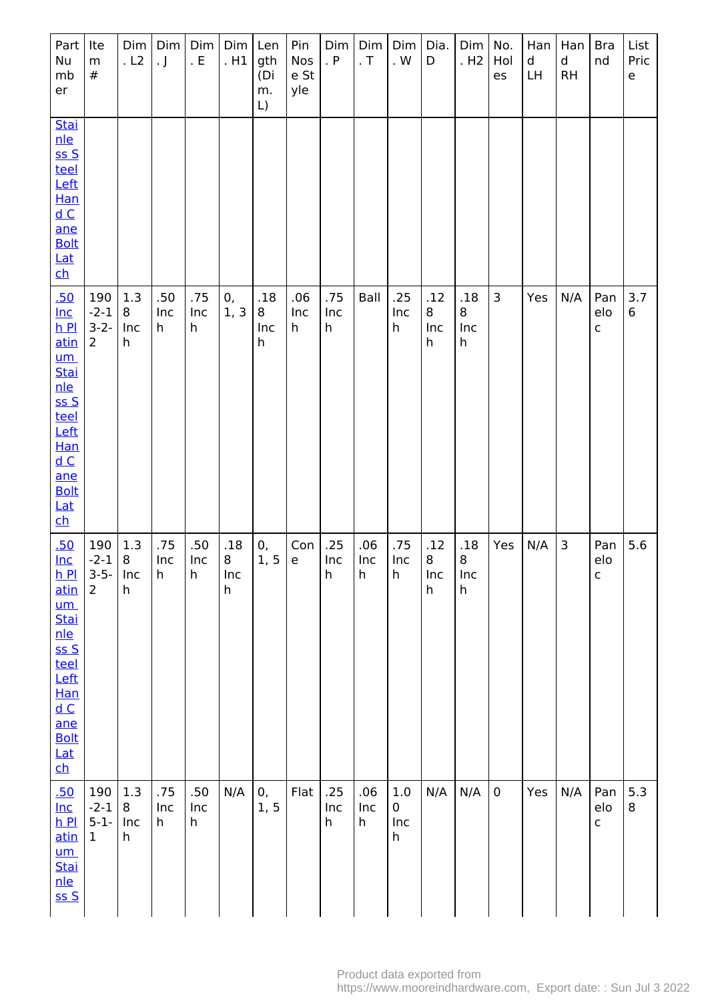| Part<br>Nu<br>mb<br>er                                                                                                                                                       | Ite<br>${\sf m}$<br>$^{\#}$                 | Dim<br>.L2           | Dim<br>. $\mathsf{J}$ | Dim<br>. E      | Dim<br>.H1           | Len<br>gth<br>(Di<br>m.<br>$\lfloor$ | Pin<br>Nos<br>e St<br>yle | Dim<br>. P      | Dim<br>. $T$    | Dim<br>. $\mathsf{W}$                       | Dia.<br>D            | Dim<br>. H <sub>2</sub> | No.<br>Hol<br>es | Han<br>d<br>LH | Han<br>d<br><b>RH</b> | <b>Bra</b><br>nd           | List<br>Pric<br>e |
|------------------------------------------------------------------------------------------------------------------------------------------------------------------------------|---------------------------------------------|----------------------|-----------------------|-----------------|----------------------|--------------------------------------|---------------------------|-----------------|-----------------|---------------------------------------------|----------------------|-------------------------|------------------|----------------|-----------------------|----------------------------|-------------------|
| <b>Stai</b><br>nle<br>SSS<br>teel<br>Left<br>Han<br>dC<br>ane<br><b>Bolt</b><br>Lat<br><u>ch</u>                                                                             |                                             |                      |                       |                 |                      |                                      |                           |                 |                 |                                             |                      |                         |                  |                |                       |                            |                   |
| .50<br>$Inc$<br>$h$ Pl<br><u>atin</u><br><u>um</u><br><b>Stai</b><br>nle<br>SSS<br>teel<br>Left<br><b>Han</b><br>dC<br>ane<br><b>Bolt</b><br>Lat<br>$\overline{\mathsf{ch}}$ | 190<br>$-2-1$<br>$3-2-$<br>$\overline{2}$   | 1.3<br>8<br>Inc<br>h | .50<br>Inc<br>h       | .75<br>Inc<br>h | 0,<br>1, 3           | .18<br>8<br>Inc<br>h                 | .06<br>Inc<br>h           | .75<br>Inc<br>h | Ball            | .25<br>Inc<br>h                             | .12<br>8<br>Inc<br>h | .18<br>8<br>Inc<br>h    | 3                | Yes            | N/A                   | Pan<br>elo<br>$\mathsf{C}$ | 3.7<br>6          |
| .50<br>lnc<br>hP<br>atin<br><u>um</u><br><b>Stai</b><br>nle<br>ssS<br>teel<br>Left<br><b>Han</b><br>dC<br>ane<br><b>Bolt</b><br>Lat<br>$\overline{\mathsf{ch}}$              | 190<br>$-2-1$ 8<br>$3-5-$<br>$\overline{2}$ | 1.3<br>Inc<br>h      | .75<br>Inc<br>h       | .50<br>Inc<br>h | .18<br>8<br>Inc<br>h | 0,<br>1, 5                           | Con<br>${\mathsf e}$      | .25<br>Inc<br>h | .06<br>Inc<br>h | .75<br>Inc<br>h                             | .12<br>8<br>Inc<br>h | .18<br>8<br>Inc<br>h    | Yes              | N/A            | 3                     | Pan<br>elo<br>$\mathsf C$  | 5.6               |
| .50<br>$Inc$<br>$h$ Pl<br>atin<br>$\mathsf{u}\mathsf{m}$<br><b>Stai</b><br><u>nle</u><br>ss S                                                                                | 190<br>$-2-1$<br>$5-1-$<br>$\mathbf{1}$     | 1.3<br>8<br>Inc<br>h | .75<br>Inc<br>h       | .50<br>Inc<br>h | N/A                  | 0,<br>1, 5                           | Flat                      | .25<br>Inc<br>h | .06<br>Inc<br>h | $1.0\,$<br>$\pmb{0}$<br>Inc<br>$\mathsf{h}$ | N/A                  | N/A                     | $\mathbf 0$      | Yes            | N/A                   | Pan<br>elo<br>$\mathsf{C}$ | 5.3<br>8          |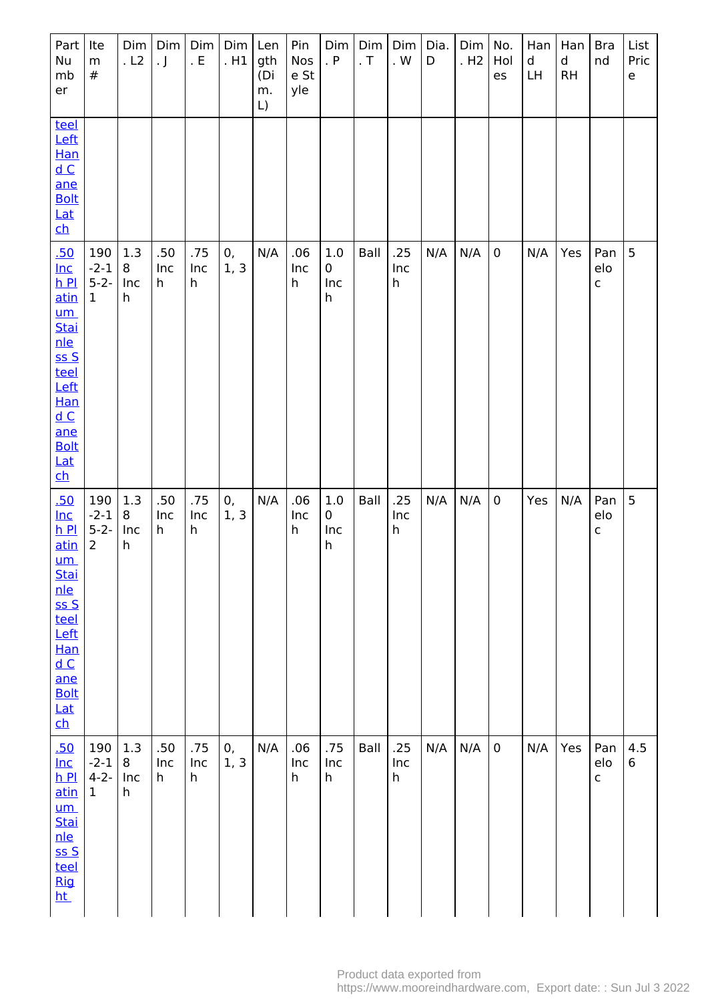| Part<br>Nu<br>mb<br>er                                                                                                                                                                                 | Ite<br>m<br>$\#$                             | Dim<br>.L2           | Dim<br>$\cdot$ J | Dim<br>. E                | Dim <br>. H1 | Len<br>gth<br>(Di<br>m.<br>$\lfloor$ | Pin<br>Nos<br>e St<br>yle | Dim<br>. $P$                       | Dim<br>. $\mathsf T$ | Dim<br>. $\mathsf{W}$ | Dia.<br>D | Dim<br>. H <sub>2</sub> | No.<br>Hol<br>es | Han<br>d<br>LH | Han<br>d<br>RH | <b>Bra</b><br>nd           | List<br>Pric<br>e |
|--------------------------------------------------------------------------------------------------------------------------------------------------------------------------------------------------------|----------------------------------------------|----------------------|------------------|---------------------------|--------------|--------------------------------------|---------------------------|------------------------------------|----------------------|-----------------------|-----------|-------------------------|------------------|----------------|----------------|----------------------------|-------------------|
| teel<br>Left<br>Han<br>dC<br>ane<br><b>Bolt</b><br>Lat<br>$\overline{\mathsf{ch}}$                                                                                                                     |                                              |                      |                  |                           |              |                                      |                           |                                    |                      |                       |           |                         |                  |                |                |                            |                   |
| .50<br>$lnc$<br>$h$ Pl<br>atin<br>$um$<br>Stai<br>nle<br>ss S<br>teel<br>Left<br>Han<br>dC<br>ane<br><b>Bolt</b><br>Lat<br>$\overline{\mathsf{ch}}$                                                    | 190<br>$-2-1$<br>$5 - 2 -$<br>$\mathbf{1}$   | 1.3<br>8<br>Inc<br>h | .50<br>Inc<br>h  | .75<br>Inc<br>$\mathsf h$ | 0,<br>1, 3   | N/A                                  | .06<br>Inc<br>h           | $1.0\,$<br>$\mathbf 0$<br>Inc<br>h | Ball                 | .25<br>Inc<br>h       | N/A       | N/A                     | $\mathbf 0$      | N/A            | Yes            | Pan<br>elo<br>$\mathsf{C}$ | 5                 |
| .50<br>$Inc$<br>$h$ Pl<br>atin<br>$um$<br><b>Stai</b><br>nle<br>SSS<br>teel<br>Left<br>Han<br>$\underline{\mathsf{d}}$ $\underline{\mathsf{C}}$<br>ane<br><b>Bolt</b><br>Lat<br>$\overline{\text{ch}}$ | 190<br>$-2-1$<br>$5 - 2 -$<br>$\overline{2}$ | 1.3<br>8<br>Inc<br>h | .50<br>Inc<br>h  | .75<br>Inc<br>h           | 0,<br>1, 3   | N/A                                  | .06<br>Inc<br>h           | $1.0\,$<br>0<br>Inc<br>h           | Ball                 | .25<br>Inc<br>h       | N/A       | N/A                     | $\pmb{0}$        | Yes            | N/A            | Pan<br>elo<br>$\mathsf{C}$ | 5                 |
| .50<br>$Inc$<br>$h$ Pl<br>atin<br>$um$<br>Stai<br>nle<br>$S S$<br>teel<br><b>Rig</b><br><u>ht</u>                                                                                                      | 190<br>$-2-1$<br>$4 - 2 -$<br>$\mathbf 1$    | 1.3<br>8<br>Inc<br>h | .50<br>Inc<br>h  | .75<br>Inc<br>h           | 0,<br>1, 3   | N/A                                  | .06<br>Inc<br>h           | .75<br>Inc<br>h                    | Ball                 | .25<br>Inc<br>h       | N/A       | N/A                     | $\pmb{0}$        | N/A            | Yes            | Pan<br>elo<br>$\mathsf{C}$ | 4.5<br>6          |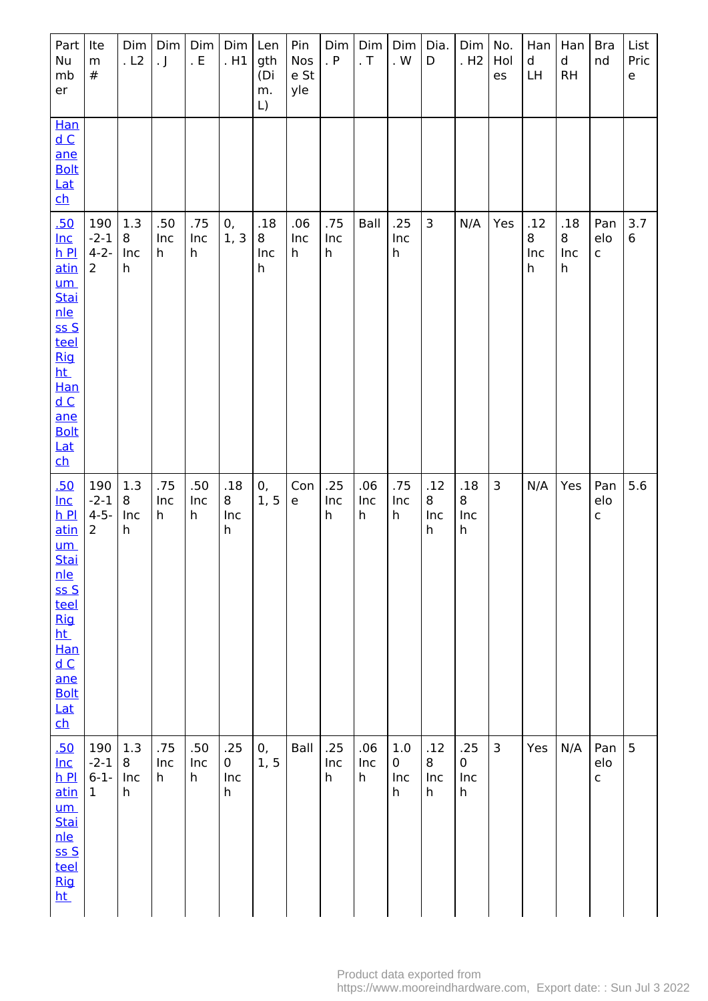| Part<br>Nu<br>mb<br>er                                                                                                                                                                                                  | Ite<br>${\sf m}$<br>#                        | Dim<br>.L2           | Dim<br>. $\mathsf{J}$ | Dim<br>. $E$    | Dim<br>. H1          | Len<br>gth<br>(Di<br>m.<br>$\lfloor$ | Pin<br>Nos<br>e St<br>yle | Dim<br>. $P$    | Dim<br>. $T$    | Dim<br>. $\mathsf{W}$                   | Dia.<br>D               | Dim<br>. H2          | No.<br>Hol<br>es | Han<br>d<br>LH       | Han<br>d<br>RH       | <b>Bra</b><br>nd           | List<br>Pric<br>e |
|-------------------------------------------------------------------------------------------------------------------------------------------------------------------------------------------------------------------------|----------------------------------------------|----------------------|-----------------------|-----------------|----------------------|--------------------------------------|---------------------------|-----------------|-----------------|-----------------------------------------|-------------------------|----------------------|------------------|----------------------|----------------------|----------------------------|-------------------|
| Han<br>$\underline{\mathsf{d}\, \mathsf{C}}$<br>ane<br><b>Bolt</b><br>Lat<br><u>ch</u>                                                                                                                                  |                                              |                      |                       |                 |                      |                                      |                           |                 |                 |                                         |                         |                      |                  |                      |                      |                            |                   |
| .50<br>$Inc$<br>$h$ $Pl$<br><u>atin</u><br>$um$<br><b>Stai</b><br>nle<br>SSS<br>teel<br>Rig<br><u>ht</u><br>Han<br>dC<br>ane<br><b>Bolt</b><br>Lat<br>$\overline{\mathsf{ch}}$                                          | 190<br>$-2-1$<br>$4 - 2 -$<br>$\overline{2}$ | 1.3<br>8<br>Inc<br>h | .50<br>Inc<br>h       | .75<br>Inc<br>h | 0,<br>1, 3           | .18<br>8<br>Inc<br>h                 | .06<br>Inc<br>h           | .75<br>Inc<br>h | Ball            | .25<br>Inc<br>$\boldsymbol{\mathsf{h}}$ | $\overline{\mathbf{3}}$ | N/A                  | Yes              | .12<br>8<br>Inc<br>h | .18<br>8<br>Inc<br>h | Pan<br>elo<br>$\mathsf{C}$ | 3.7<br>$\,6\,$    |
| .50<br>$lnc$<br>$h$ $Pl$<br><u>atin</u><br><u>um</u><br><b>Stai</b><br>nle<br>ssS<br>teel<br><b>Rig</b><br>ht_<br>Han<br>$\underline{\mathsf{d}\, \mathsf{C}}$<br>ane<br><b>Bolt</b><br>Lat<br>$\overline{\mathsf{ch}}$ | 190<br>$-2-1$<br>$4 - 5 -$<br>$\overline{2}$ | 1.3<br>8<br>Inc<br>h | .75<br>Inc<br>h       | .50<br>Inc<br>h | .18<br>8<br>Inc<br>h | 0,<br>1, 5                           | Con<br>e                  | .25<br>Inc<br>h | .06<br>Inc<br>h | .75<br>Inc<br>h                         | .12<br>8<br>Inc<br>h    | .18<br>8<br>Inc<br>h | $\overline{3}$   | N/A                  | Yes                  | Pan<br>elo<br>$\mathsf{C}$ | 5.6               |
| .50<br>$Inc$<br>$h$ Pl<br>atin<br>$um$<br><b>Stai</b><br>nle<br>SSS<br>teel<br><b>Rig</b><br><u>ht</u>                                                                                                                  | 190<br>$-2-1$<br>$6 - 1 -$<br>$\mathbf{1}$   | 1.3<br>8<br>Inc<br>h | .75<br>Inc<br>h       | .50<br>Inc<br>h | .25<br>0<br>Inc<br>h | 0,<br>1, 5                           | Ball                      | .25<br>Inc<br>h | .06<br>Inc<br>h | 1.0<br>0<br>Inc<br>h                    | .12<br>8<br>Inc<br>h    | .25<br>0<br>Inc<br>h | 3                | Yes                  | N/A                  | Pan<br>elo<br>$\mathsf{C}$ | 5                 |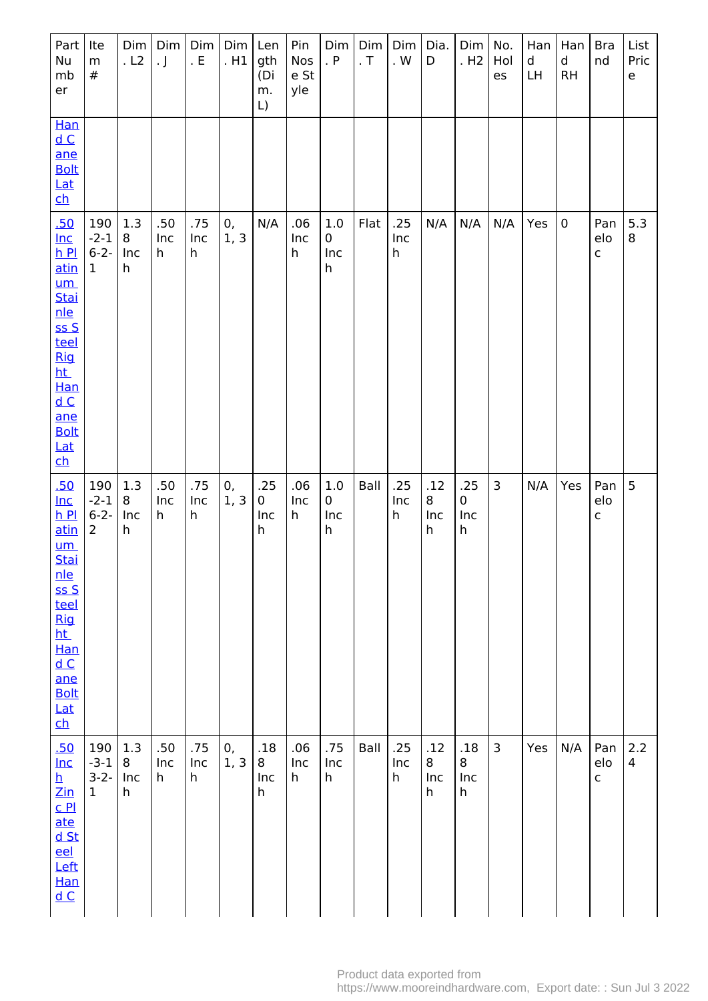| Part<br>Nu<br>mb<br>er                                                                                                                                                                                                                                      | Ite<br>${\sf m}$<br>$^{\#}$                  | Dim<br>. L2          | Dim<br>$\cdot$ J | Dim<br>. $\mathsf{E}% _{\mathsf{H}}$ | Dim<br>.H1 | Len<br>gth<br>(Di<br>m.<br>$\lfloor$ | Pin<br>Nos<br>e St<br>yle | Dim<br>. P                     | Dim<br>. $\mathsf T$ | Dim<br>. $\mathsf{W}$                   | Dia.<br>D            | Dim<br>. H <sub>2</sub> | No.<br>Hol<br>es | Han<br>d<br>LH | Han<br>d<br>RH | <b>Bra</b><br>nd           | List<br>Pric<br>$\mathsf{e}% _{t}\left( t\right)$ |
|-------------------------------------------------------------------------------------------------------------------------------------------------------------------------------------------------------------------------------------------------------------|----------------------------------------------|----------------------|------------------|--------------------------------------|------------|--------------------------------------|---------------------------|--------------------------------|----------------------|-----------------------------------------|----------------------|-------------------------|------------------|----------------|----------------|----------------------------|---------------------------------------------------|
| Han<br>$\underline{\mathsf{d}\, \mathsf{C}}$<br>ane<br><b>Bolt</b><br>$Lat$<br>$\overline{\mathsf{ch}}$                                                                                                                                                     |                                              |                      |                  |                                      |            |                                      |                           |                                |                      |                                         |                      |                         |                  |                |                |                            |                                                   |
| .50<br>$Inc$<br>$h$ $Pl$<br>atin<br>$um$<br><b>Stai</b><br>nle<br>SSS<br>teel<br><b>Rig</b><br>ht.<br>Han<br>$\underline{\mathsf{d}}$ $\underline{\mathsf{C}}$<br>ane<br><b>Bolt</b><br><u>Lat</u><br>$\overline{\mathsf{c}}$                               | 190<br>$-2-1$<br>$6 - 2 -$<br>$\mathbf{1}$   | 1.3<br>8<br>Inc<br>h | .50<br>Inc<br>h  | .75<br>Inc<br>h                      | 0,<br>1, 3 | N/A                                  | .06<br>Inc<br>h           | 1.0<br>$\mathbf 0$<br>Inc<br>h | Flat                 | .25<br>Inc<br>$\boldsymbol{\mathsf{h}}$ | N/A                  | N/A                     | N/A              | Yes            | $\pmb{0}$      | Pan<br>elo<br>$\mathsf{C}$ | 5.3<br>8                                          |
| .50<br>$lnc$<br>$h$ Pl<br>atin<br><u>um</u><br><b>Stai</b><br>nle<br>SSS<br>teel<br><u>Rig</u><br>ht_<br>Han<br>$\underline{\mathsf{d}\,}\mathsf{C}$<br>ane<br><b>Bolt</b><br>Lat<br><u>ch</u>                                                              | 190<br>$-2-1$<br>$6 - 2 -$<br>$\overline{2}$ | 1.3<br>8<br>Inc<br>h | .50<br>Inc<br>h  | .75<br>Inc<br>h                      | 0,<br>1, 3 | .25<br>0<br>Inc<br>h                 | .06<br>Inc<br>h           | $1.0\,$<br>0<br>Inc<br>h       | Ball                 | .25<br>Inc<br>h                         | .12<br>8<br>Inc<br>h | .25<br>0<br>Inc<br>h    | 3                | N/A            | Yes            | Pan<br>elo<br>$\mathsf{C}$ | 5                                                 |
| .50<br>$Inc$<br>$\overline{\mathbf{h}}$<br>$\mathsf{Zin}% \left( \mathsf{Z}\right) \equiv\mathsf{Zin}% \left( \mathsf{Z}\right)$<br>C <sub>Pl</sub><br><u>ate</u><br><u>d St</u><br>eel<br>Left<br>Han<br>$\underline{\mathsf{d}}$ $\underline{\mathsf{C}}$ | 190<br>$-3-1$<br>$3-2-$<br>$\mathbf{1}$      | 1.3<br>8<br>Inc<br>h | .50<br>Inc<br>h  | .75<br>Inc<br>h                      | 0,<br>1, 3 | .18<br>8<br>Inc<br>h                 | .06<br>Inc<br>h           | .75<br>Inc<br>h                | Ball                 | .25<br>Inc<br>h                         | .12<br>8<br>Inc<br>h | .18<br>8<br>Inc<br>h    | 3                | Yes            | N/A            | Pan<br>elo<br>$\mathsf{C}$ | 2.2<br>$\overline{\mathcal{A}}$                   |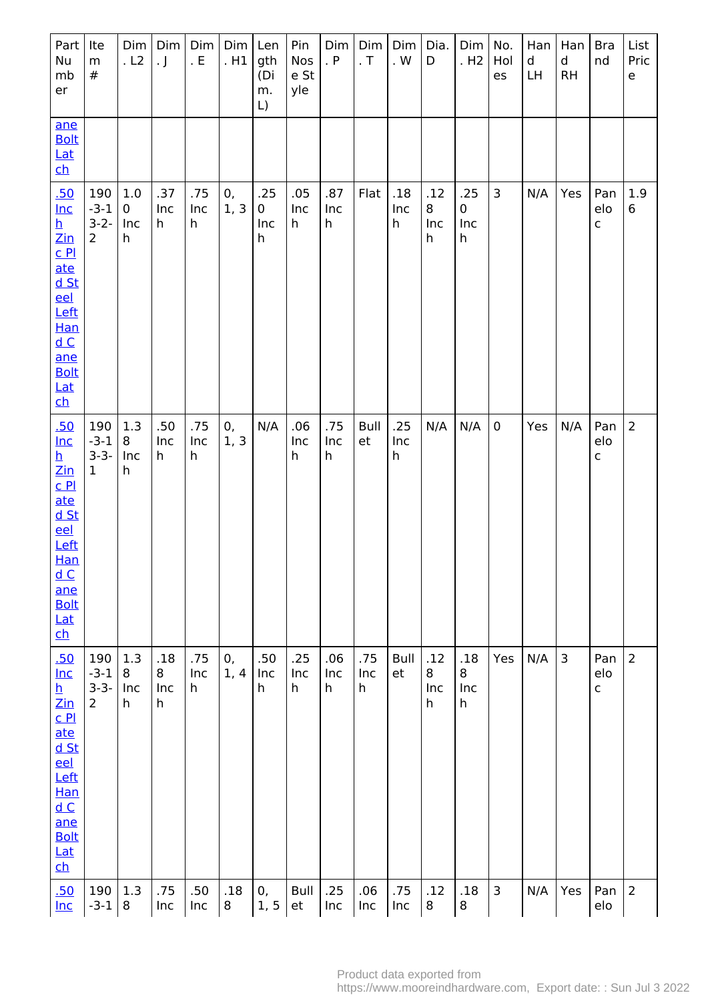| Part<br>Nu<br>mb<br>er                                                                                                                                                                                                                                 | Ite<br>m<br>$\#$                             | Dim<br>.L2                      | Dim<br>$\cdot$ J     | Dim<br>. $E$    | Dim<br>.H1 | Len<br>gth<br>(Di<br>m.<br>$\lfloor$ | Pin<br>Nos<br>e St<br>yle | Dim<br>. P      | Dim<br>. $\mathsf T$ | Dim<br>. $W$    | Dia.<br>D            | Dim <sub> </sub><br>.H2        | No.<br>Hol<br>es | Han<br>d<br>LH | Han<br>$\sf d$<br><b>RH</b> | <b>Bra</b><br>nd           | List<br>Pric<br>$\mathsf{e}% _{t}\left( t\right)$ |
|--------------------------------------------------------------------------------------------------------------------------------------------------------------------------------------------------------------------------------------------------------|----------------------------------------------|---------------------------------|----------------------|-----------------|------------|--------------------------------------|---------------------------|-----------------|----------------------|-----------------|----------------------|--------------------------------|------------------|----------------|-----------------------------|----------------------------|---------------------------------------------------|
| ane<br><b>Bolt</b><br><b>Lat</b><br>$\mathbf{c}$                                                                                                                                                                                                       |                                              |                                 |                      |                 |            |                                      |                           |                 |                      |                 |                      |                                |                  |                |                             |                            |                                                   |
| .50<br>$lnc$<br><u>h</u><br>$\mathsf{Zin}% \left( \mathsf{Z}\right) \equiv\mathsf{Zin}% \left( \mathsf{Z}\right)$<br>$C$ $P1$<br>ate<br><u>d St</u><br>eel<br>Left<br>Han<br>dC<br>ane<br><b>Bolt</b><br><u>Lat</u><br>$\mathbf{h}$                    | 190<br>$-3-1$<br>$3-2-$<br>$\overline{2}$    | 1.0<br>$\mathbf 0$<br>Inc<br>h  | .37<br>Inc<br>h      | .75<br>Inc<br>h | 0,<br>1, 3 | .25<br>0<br>Inc<br>h                 | .05<br>Inc<br>h           | .87<br>Inc<br>h | Flat                 | .18<br>Inc<br>h | .12<br>8<br>Inc<br>h | .25<br>$\mathbf 0$<br>Inc<br>h | 3                | N/A            | Yes                         | Pan<br>elo<br>$\mathsf C$  | 1.9<br>6                                          |
| .50<br>$lnc$<br>h<br>$\mathsf{Zin}% \left( \mathsf{Z}\right) \equiv\mathsf{Zin}% \left( \mathsf{Z}\right)$<br>C <sub>Pl</sub><br>ate<br><u>d St</u><br><u>eel</u><br>Left<br><b>Han</b><br>dC<br>ane<br><b>Bolt</b><br>Lat<br>$\overline{\mathsf{ch}}$ | 190<br>$-3-1$<br>$3 - 3 -$<br>$\mathbf{1}$   | 1.3<br>8<br>Inc<br>$\mathsf{h}$ | .50<br>Inc<br>h      | .75<br>Inc<br>h | 0,<br>1, 3 | N/A                                  | .06<br>Inc<br>h           | .75<br>Inc<br>h | Bull<br>et           | .25<br>Inc<br>h | N/A                  | N/A                            | $\mathbf 0$      | Yes            | N/A                         | Pan<br>elo<br>$\mathsf C$  | $\overline{2}$                                    |
| .50<br>$Inc$<br>h<br>$\mathsf{Zin}% \left( \mathsf{Z}\right)$<br>$C$ Pl<br>ate<br>d St<br>eel<br>Left<br>Han<br>dC<br>ane<br><b>Bolt</b><br><b>Lat</b><br>$\underline{\mathsf{ch}}$                                                                    | 190<br>$-3-1$<br>$3 - 3 -$<br>$\overline{2}$ | 1.3<br>8<br>Inc<br>h            | .18<br>8<br>Inc<br>h | .75<br>Inc<br>h | 0,<br>1, 4 | .50<br>Inc<br>h                      | .25<br>Inc<br>h           | .06<br>Inc<br>h | .75<br>Inc<br>h      | Bull<br>et      | .12<br>8<br>Inc<br>h | .18<br>8<br>Inc<br>h           | Yes              | N/A            | 3                           | Pan<br>elo<br>$\mathsf{C}$ | $\overline{2}$                                    |
| .50<br>$Inc$                                                                                                                                                                                                                                           | 190<br>$-3-1$                                | 1.3<br>8                        | .75<br>Inc           | .50<br>Inc      | .18<br>8   | 0,<br>1, 5                           | Bull<br>et                | .25<br>Inc      | .06<br>Inc           | .75<br>Inc      | .12<br>8             | .18<br>8                       | 3                | N/A            | Yes                         | Pan<br>elo                 | $\overline{2}$                                    |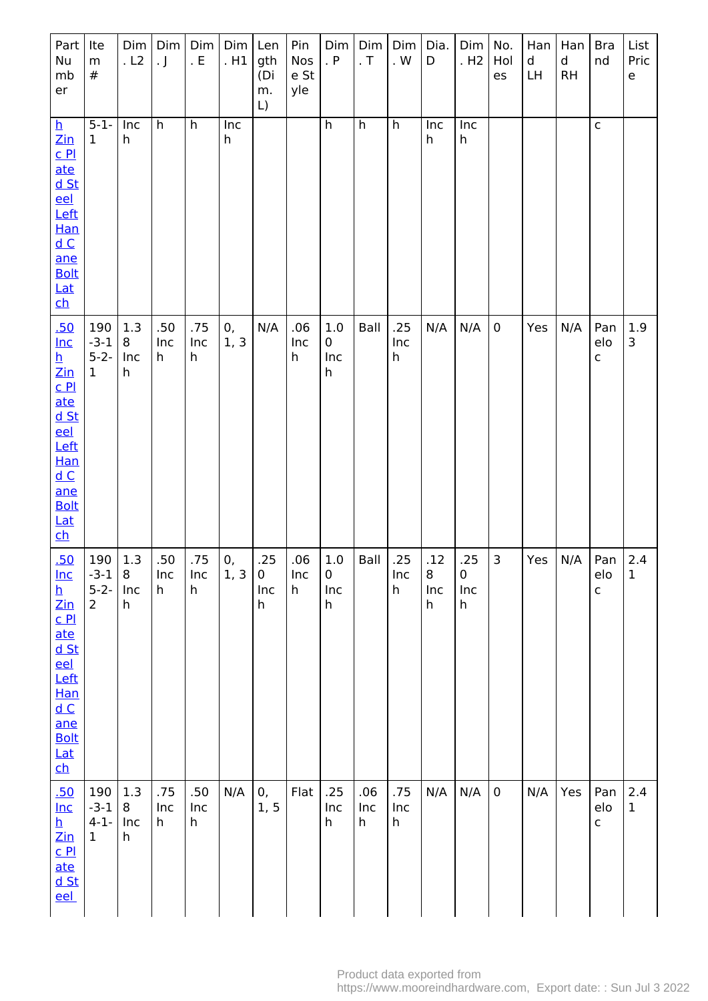| Part<br>Nu<br>mb<br>er                                                                                                                                                                                                              | Ite<br>m<br>$\#$                             | Dim<br>.L2           | Dim<br>$\cdot$ J | Dim<br>. E                | Dim<br>. H1 | Len<br>gth<br>(Di<br>m.<br>L) | Pin<br>Nos<br>e St<br>yle | Dim<br>. P                     | Dim<br>. $\sf T$ | Dim<br>. $\mathsf{W}$                   | Dia.<br>D            | Dim<br>. H <sub>2</sub>      | No.<br>Hol<br>es | Han<br>d<br><b>LH</b> | Han<br>$\mathsf d$<br><b>RH</b> | <b>Bra</b><br>nd           | List<br>Pric<br>$\mathsf{e}% _{t}\left( t\right)$ |
|-------------------------------------------------------------------------------------------------------------------------------------------------------------------------------------------------------------------------------------|----------------------------------------------|----------------------|------------------|---------------------------|-------------|-------------------------------|---------------------------|--------------------------------|------------------|-----------------------------------------|----------------------|------------------------------|------------------|-----------------------|---------------------------------|----------------------------|---------------------------------------------------|
| $\overline{\mathbf{p}}$<br>$\overline{\text{Zin}}$<br>C <sub>Pl</sub><br>ate<br>$d$ St<br>eel<br>Left<br>Han<br>dC<br>ane<br><b>Bolt</b><br>$Lat$<br>$\mathbf{ch}$                                                                  | $5-1-$<br>$\mathbf{1}$                       | Inc<br>h             | h                | h                         | Inc<br>h    |                               |                           | h                              | h                | h                                       | Inc<br>h             | Inc<br>h                     |                  |                       |                                 | $\mathsf{C}$               |                                                   |
| .50<br>$Inc$<br><u>h</u><br>$\mathsf{Zin}% \left( \mathsf{Z}\right) \equiv\mathsf{Zin}% \left( \mathsf{Z}\right)$<br>C <sub>Pl</sub><br>ate<br>$d$ St<br>eel<br>Left<br>Han<br>dC<br>ane<br><b>Bolt</b><br>Lat<br>$\mathbf{c}$      | 190<br>$-3-1$<br>$5 - 2 -$<br>$\mathbf{1}$   | 1.3<br>8<br>Inc<br>h | .50<br>Inc<br>h  | .75<br>Inc<br>h           | 0,<br>1, 3  | N/A                           | .06<br>Inc<br>h           | 1.0<br>$\mathbf 0$<br>Inc<br>h | Ball             | .25<br>Inc<br>$\mathsf{h}$              | N/A                  | N/A                          | $\mathbf 0$      | Yes                   | N/A                             | Pan<br>elo<br>$\mathsf{C}$ | 1.9<br>3                                          |
| .50<br>$Inc$<br>$\overline{\mathbf{h}}$<br>$\overline{\text{Zin}}$<br>C <sub>Pl</sub><br>ate<br><u>d St</u><br>eel<br>Left<br>Han<br>$\underline{\mathsf{d}\, \mathsf{C}}$<br>ane<br><b>Bolt</b><br>Lat<br>$\overline{\mathsf{ch}}$ | 190<br>$-3-1$<br>$5 - 2 -$<br>$\overline{2}$ | 1.3<br>8<br>Inc<br>h | .50<br>Inc<br>h  | .75<br>Inc<br>$\mathsf h$ | 0,<br>1, 3  | .25<br>$\pmb{0}$<br>Inc<br>h  | .06<br>Inc<br>h           | 1.0<br>$\pmb{0}$<br>Inc<br>h   | Ball             | .25<br>Inc<br>h                         | .12<br>8<br>Inc<br>h | .25<br>$\pmb{0}$<br>Inc<br>h | $\overline{3}$   | Yes                   | N/A                             | Pan<br>elo<br>$\mathsf{C}$ | 2.4<br>$\mathbf 1$                                |
| .50<br>$Inc$<br>$\overline{\mathbf{h}}$<br>$\mathsf{Zin}% \left( \mathsf{Z}\right) \equiv\mathsf{Zin}% \left( \mathsf{Z}\right)$<br>C <sub>Pl</sub><br>ate<br><u>d St</u><br>eel                                                    | 190<br>$-3-1$<br>$4-1-$<br>$\mathbf{1}$      | 1.3<br>8<br>Inc<br>h | .75<br>Inc<br>h  | .50<br>Inc<br>h           | N/A         | 0,<br>1, 5                    | Flat                      | .25<br>Inc<br>h                | .06<br>Inc<br>h  | .75<br>Inc<br>$\boldsymbol{\mathsf{h}}$ | N/A                  | N/A                          | $\mathbf 0$      | N/A                   | Yes                             | Pan<br>elo<br>$\mathsf{C}$ | 2.4<br>$\mathbf{1}$                               |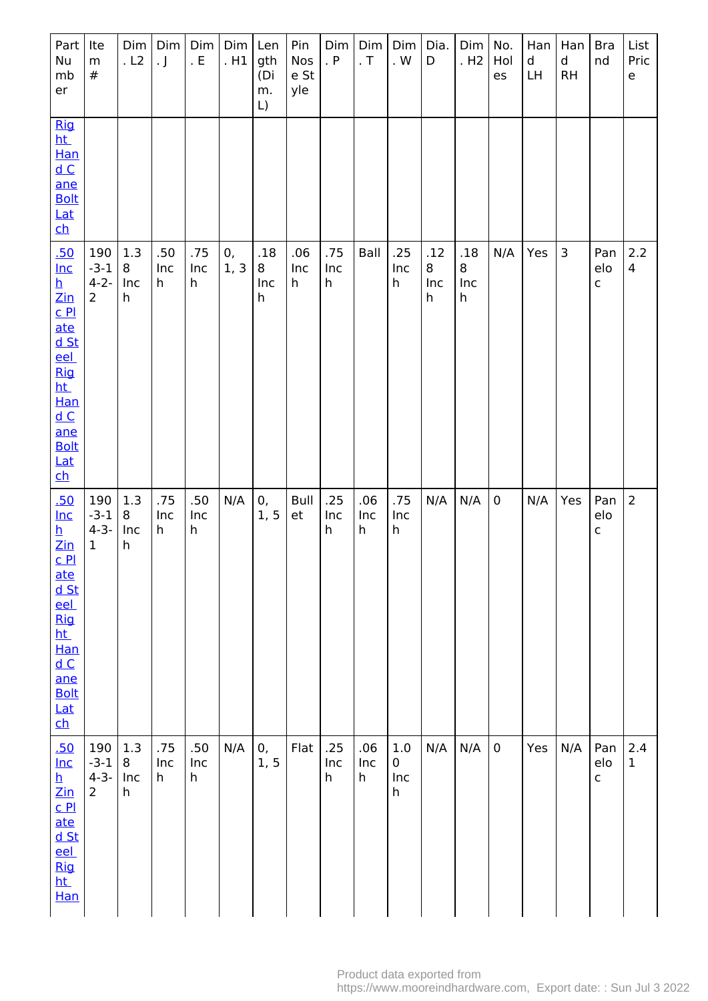| Part<br>Nu<br>mb<br>er                                                                                                                                                                                                                                                                                                          | Ite<br>m<br>$\#$                             | Dim<br>.L2           | Dim<br>$\cdot$ J | Dim<br>. $E$    | Dim<br>. H1 | Len<br>gth<br>(Di<br>m.<br>$\lfloor$ | Pin<br>Nos<br>e St<br>yle | Dim<br>. $P$    | Dim<br>. $T$    | Dim<br>. $\mathsf{W}$               | Dia.<br>D            | Dim<br>. H <sub>2</sub> | No.<br>Hol<br>es | Han<br>d<br>LH | Han<br>d<br><b>RH</b> | <b>Bra</b><br>nd           | List<br>Pric<br>e   |
|---------------------------------------------------------------------------------------------------------------------------------------------------------------------------------------------------------------------------------------------------------------------------------------------------------------------------------|----------------------------------------------|----------------------|------------------|-----------------|-------------|--------------------------------------|---------------------------|-----------------|-----------------|-------------------------------------|----------------------|-------------------------|------------------|----------------|-----------------------|----------------------------|---------------------|
| <b>Rig</b><br><u>ht</u><br>Han<br>dC<br>ane<br><b>Bolt</b><br>Lat<br>$\overline{\mathsf{ch}}$                                                                                                                                                                                                                                   |                                              |                      |                  |                 |             |                                      |                           |                 |                 |                                     |                      |                         |                  |                |                       |                            |                     |
| .50<br>$Inc$<br>$\frac{\mathsf{h}}{\mathsf{Zin}}$<br>$C$ $PL$<br>ate<br><u>d St</u><br><u>eel</u><br><b>Rig</b><br><u>ht</u><br><b>Han</b><br>$\underline{\mathsf{d}\, \mathsf{C}}$<br>ane<br><b>Bolt</b><br>Lat<br>$\overline{\mathsf{ch}}$                                                                                    | 190<br>$-3-1$<br>$4 - 2 -$<br>$\overline{2}$ | 1.3<br>8<br>Inc<br>h | .50<br>Inc<br>h  | .75<br>Inc<br>h | 0,<br>1, 3  | .18<br>8<br>Inc<br>h                 | .06<br>Inc<br>h           | .75<br>Inc<br>h | Ball            | .25<br>Inc<br>$\mathsf h$           | .12<br>8<br>Inc<br>h | .18<br>8<br>Inc<br>h    | N/A              | Yes            | 3                     | Pan<br>elo<br>$\mathsf{C}$ | 2.2<br>4            |
| .50<br>$Inc$<br>$\overline{\mathbf{h}}$<br>$\mathsf{Zin}% \left( \mathsf{Z}\right) \equiv\mathsf{Zin}% \left( \mathsf{Z}\right)$<br>C <sub>P1</sub><br><u>ate</u><br><u>d St</u><br>eel<br><b>Rig</b><br>ht_<br>Han<br>$\underline{\mathsf{d}}$ $\underline{\mathsf{C}}$<br>ane<br><b>Bolt</b><br>Lat<br>$\overline{\text{ch}}$ | 190<br>$-3-1$<br>$4 - 3 -$<br>$\mathbf 1$    | 1.3<br>8<br>Inc<br>h | .75<br>Inc<br>h  | .50<br>Inc<br>h | N/A         | 0,<br>1, 5                           | Bull<br>et                | .25<br>Inc<br>h | .06<br>Inc<br>h | .75<br>Inc<br>$\mathsf h$           | N/A                  | N/A                     | $\pmb{0}$        | N/A            | Yes                   | Pan<br>elo<br>$\mathsf{C}$ | $\overline{2}$      |
| <u>.50</u><br>$Inc$<br><u>h</u><br>$\mathsf{Zin}% \left( \mathsf{Z}\right) \equiv\mathsf{Zin}% \left( \mathsf{Z}\right)$<br>C <sub>Pl</sub><br>ate<br><u>d St</u><br>eel<br><b>Rig</b><br><u>ht</u><br>Han                                                                                                                      | 190<br>$-3-1$<br>$4 - 3 -$<br>$\overline{2}$ | 1.3<br>8<br>Inc<br>h | .75<br>Inc<br>h  | .50<br>Inc<br>h | N/A         | 0,<br>1, 5                           | Flat                      | .25<br>Inc<br>h | .06<br>Inc<br>h | $1.0\,$<br>0<br>Inc<br>$\mathsf{h}$ | N/A                  | N/A                     | $\pmb{0}$        | Yes            | N/A                   | Pan<br>elo<br>$\mathsf{C}$ | 2.4<br>$\mathbf{1}$ |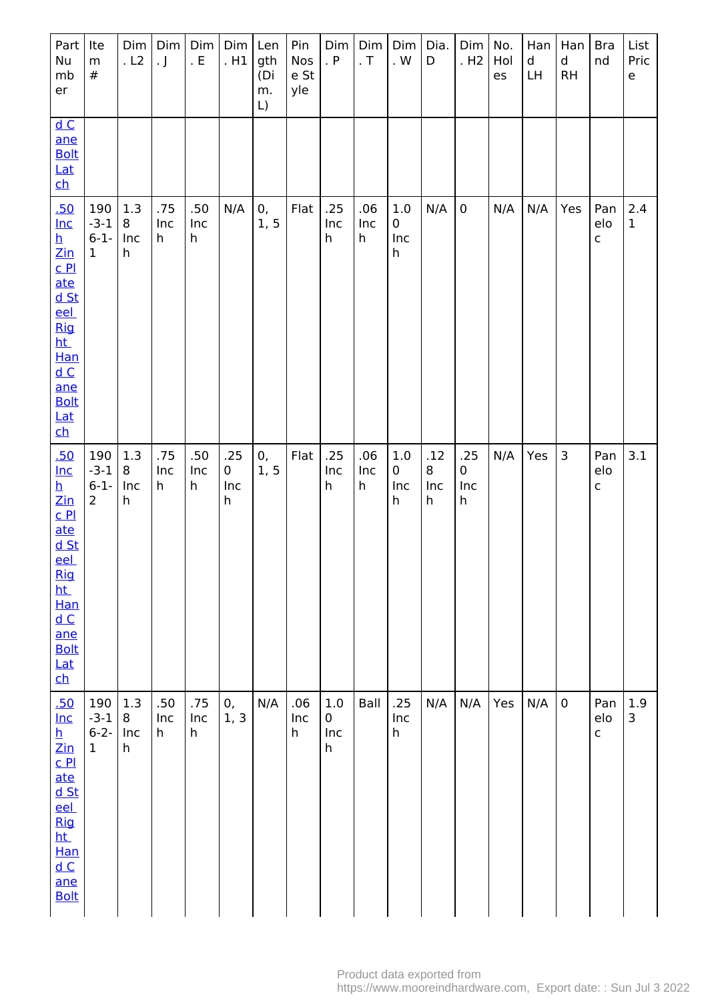| Part  <br>Nu<br>mb<br>er                                                                                                                                                                                                                                                                                       | Ite<br>m<br>$\#$                           | Dim<br>. L2          | Dim<br>$\cdot$ J | Dim<br>. $E$    | $Dim$ Len<br>.H1               | gth<br>(Di<br>m.<br>L) | Pin<br>Nos<br>e St<br>yle | Dim<br>. $P$             | Dim<br>. $\mathsf T$ | Dim<br>. $\mathsf{W}$                                | Dia.<br>D            | Dim<br>. H <sub>2</sub> | No.<br>Hol<br>es | Han<br>d<br>LH | Han<br>d<br><b>RH</b> | <b>Bra</b><br>nd           | List<br>Pric<br>e   |
|----------------------------------------------------------------------------------------------------------------------------------------------------------------------------------------------------------------------------------------------------------------------------------------------------------------|--------------------------------------------|----------------------|------------------|-----------------|--------------------------------|------------------------|---------------------------|--------------------------|----------------------|------------------------------------------------------|----------------------|-------------------------|------------------|----------------|-----------------------|----------------------------|---------------------|
| dC<br>ane<br><b>Bolt</b><br>Lat<br>$\overline{\mathsf{ch}}$                                                                                                                                                                                                                                                    |                                            |                      |                  |                 |                                |                        |                           |                          |                      |                                                      |                      |                         |                  |                |                       |                            |                     |
| .50<br>$Inc$<br>$\overline{\mathbf{h}}$<br>$\mathsf{Zin}% \left( \mathsf{Z}\right) \equiv\mathsf{Zin}% \left( \mathsf{Z}\right)$<br>$C$ $PL$<br>ate<br>$d$ St<br>eel<br><b>Rig</b><br><u>ht</u><br><b>Han</b><br>$\underline{\mathsf{d}\,\mathsf{C}}$<br>ane<br><b>Bolt</b><br>Lat<br>$\overline{\mathsf{ch}}$ | 190<br>$-3-1$<br>$6 - 1 -$<br>$\mathbf{1}$ | 1.3<br>8<br>Inc<br>h | .75<br>Inc<br>h  | .50<br>Inc<br>h | N/A                            | 0,<br>1, 5             | Flat                      | .25<br>Inc<br>h          | .06<br>Inc<br>h      | 1.0<br>0<br>Inc<br>$\mathsf{h}% _{H}=\mathsf{h}_{H}$ | N/A                  | $\mathbf 0$             | N/A              | N/A            | Yes                   | Pan<br>elo<br>$\mathsf{C}$ | 2.4<br>$\mathbf{1}$ |
| .50<br>$Inc$<br><u>h</u><br>$\mathsf{Zin}% \left( \mathsf{Z}\right) \equiv\mathsf{Zin}% \left( \mathsf{Z}\right)$<br>$C$ $P1$<br><u>ate</u><br>$d$ St<br>eel<br><b>Rig</b><br>ht.<br>Han<br>dC<br>ane<br><b>Bolt</b><br>Lat<br>$\underline{\text{ch}}$                                                         | 190<br>$-3-1$<br>$6-1-$<br>$\overline{2}$  | 1.3<br>8<br>Inc<br>h | .75<br>Inc<br>h  | .50<br>Inc<br>h | .25<br>$\mathbf 0$<br>Inc<br>h | 0,<br>1, 5             | Flat                      | .25<br>Inc<br>h          | .06<br>Inc<br>h      | $1.0\,$<br>0<br>Inc<br>h                             | .12<br>8<br>Inc<br>h | .25<br>0<br>Inc<br>h    | N/A              | Yes            | 3                     | Pan<br>elo<br>$\mathsf{C}$ | 3.1                 |
| .50<br>$Inc$<br>$\overline{\mathbf{h}}$<br>$\overline{\text{Z}}$ in<br>C <sub>Pl</sub><br>ate<br>$d$ St<br><u>eel</u><br><b>Rig</b><br><u>ht</u><br>Han<br>dC<br>ane<br><b>Bolt</b>                                                                                                                            | 190<br>$-3-1$<br>$6 - 2 -$<br>$\mathbf 1$  | 1.3<br>8<br>Inc<br>h | .50<br>Inc<br>h  | .75<br>Inc<br>h | 0,<br>1, 3                     | N/A                    | .06<br>Inc<br>$\mathsf h$ | $1.0\,$<br>0<br>Inc<br>h | Ball                 | .25<br>Inc<br>h                                      | N/A                  | N/A                     | Yes              | N/A            | $\pmb{0}$             | Pan<br>elo<br>$\mathsf{C}$ | 1.9<br>3            |